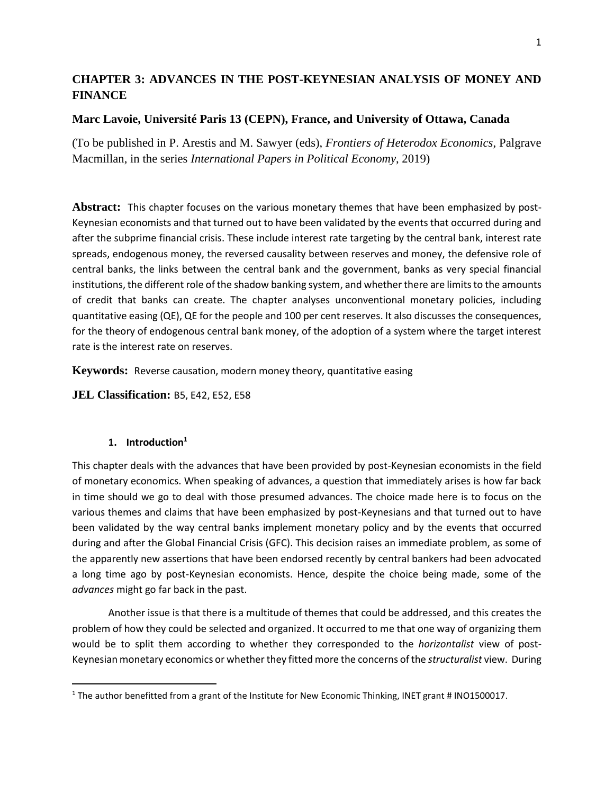# **CHAPTER 3: ADVANCES IN THE POST-KEYNESIAN ANALYSIS OF MONEY AND FINANCE**

# **Marc Lavoie, Université Paris 13 (CEPN), France, and University of Ottawa, Canada**

(To be published in P. Arestis and M. Sawyer (eds), *Frontiers of Heterodox Economics*, Palgrave Macmillan, in the series *International Papers in Political Economy*, 2019)

**Abstract:** This chapter focuses on the various monetary themes that have been emphasized by post-Keynesian economists and that turned out to have been validated by the events that occurred during and after the subprime financial crisis. These include interest rate targeting by the central bank, interest rate spreads, endogenous money, the reversed causality between reserves and money, the defensive role of central banks, the links between the central bank and the government, banks as very special financial institutions, the different role of the shadow banking system, and whether there are limits to the amounts of credit that banks can create. The chapter analyses unconventional monetary policies, including quantitative easing (QE), QE for the people and 100 per cent reserves. It also discusses the consequences, for the theory of endogenous central bank money, of the adoption of a system where the target interest rate is the interest rate on reserves.

**Keywords:** Reverse causation, modern money theory, quantitative easing

**JEL Classification:** B5, E42, E52, E58

# **1. Introduction<sup>1</sup>**

 $\overline{\phantom{a}}$ 

This chapter deals with the advances that have been provided by post-Keynesian economists in the field of monetary economics. When speaking of advances, a question that immediately arises is how far back in time should we go to deal with those presumed advances. The choice made here is to focus on the various themes and claims that have been emphasized by post-Keynesians and that turned out to have been validated by the way central banks implement monetary policy and by the events that occurred during and after the Global Financial Crisis (GFC). This decision raises an immediate problem, as some of the apparently new assertions that have been endorsed recently by central bankers had been advocated a long time ago by post-Keynesian economists. Hence, despite the choice being made, some of the *advances* might go far back in the past.

Another issue is that there is a multitude of themes that could be addressed, and this creates the problem of how they could be selected and organized. It occurred to me that one way of organizing them would be to split them according to whether they corresponded to the *horizontalist* view of post-Keynesian monetary economics or whether they fitted more the concerns of the *structuralist* view. During

<sup>&</sup>lt;sup>1</sup> The author benefitted from a grant of the Institute for New Economic Thinking, INET grant # INO1500017.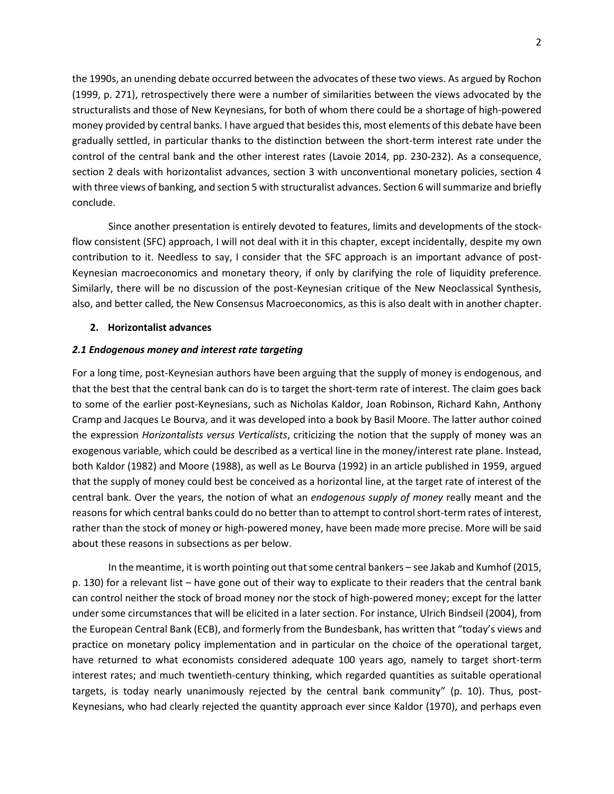the 1990s, an unending debate occurred between the advocates of these two views. As argued by Rochon (1999, p. 271), retrospectively there were a number of similarities between the views advocated by the structuralists and those of New Keynesians, for both of whom there could be a shortage of high-powered money provided by central banks. I have argued that besides this, most elements of this debate have been gradually settled, in particular thanks to the distinction between the short-term interest rate under the control of the central bank and the other interest rates (Lavoie 2014, pp. 230-232). As a consequence, section 2 deals with horizontalist advances, section 3 with unconventional monetary policies, section 4 with three views of banking, and section 5 with structuralist advances. Section 6 will summarize and briefly conclude.

Since another presentation is entirely devoted to features, limits and developments of the stockflow consistent (SFC) approach, I will not deal with it in this chapter, except incidentally, despite my own contribution to it. Needless to say, I consider that the SFC approach is an important advance of post-Keynesian macroeconomics and monetary theory, if only by clarifying the role of liquidity preference. Similarly, there will be no discussion of the post-Keynesian critique of the New Neoclassical Synthesis, also, and better called, the New Consensus Macroeconomics, as this is also dealt with in another chapter.

## **2. Horizontalist advances**

# *2.1 Endogenous money and interest rate targeting*

For a long time, post-Keynesian authors have been arguing that the supply of money is endogenous, and that the best that the central bank can do is to target the short-term rate of interest. The claim goes back to some of the earlier post-Keynesians, such as Nicholas Kaldor, Joan Robinson, Richard Kahn, Anthony Cramp and Jacques Le Bourva, and it was developed into a book by Basil Moore. The latter author coined the expression *Horizontalists versus Verticalists*, criticizing the notion that the supply of money was an exogenous variable, which could be described as a vertical line in the money/interest rate plane. Instead, both Kaldor (1982) and Moore (1988), as well as Le Bourva (1992) in an article published in 1959, argued that the supply of money could best be conceived as a horizontal line, at the target rate of interest of the central bank. Over the years, the notion of what an *endogenous supply of money* really meant and the reasons for which central banks could do no better than to attempt to control short-term rates of interest, rather than the stock of money or high-powered money, have been made more precise. More will be said about these reasons in subsections as per below.

In the meantime, it is worth pointing out that some central bankers – see Jakab and Kumhof (2015, p. 130) for a relevant list – have gone out of their way to explicate to their readers that the central bank can control neither the stock of broad money nor the stock of high-powered money; except for the latter under some circumstances that will be elicited in a later section. For instance, Ulrich Bindseil (2004), from the European Central Bank (ECB), and formerly from the Bundesbank, has written that "today's views and practice on monetary policy implementation and in particular on the choice of the operational target, have returned to what economists considered adequate 100 years ago, namely to target short-term interest rates; and much twentieth-century thinking, which regarded quantities as suitable operational targets, is today nearly unanimously rejected by the central bank community" (p. 10). Thus, post-Keynesians, who had clearly rejected the quantity approach ever since Kaldor (1970), and perhaps even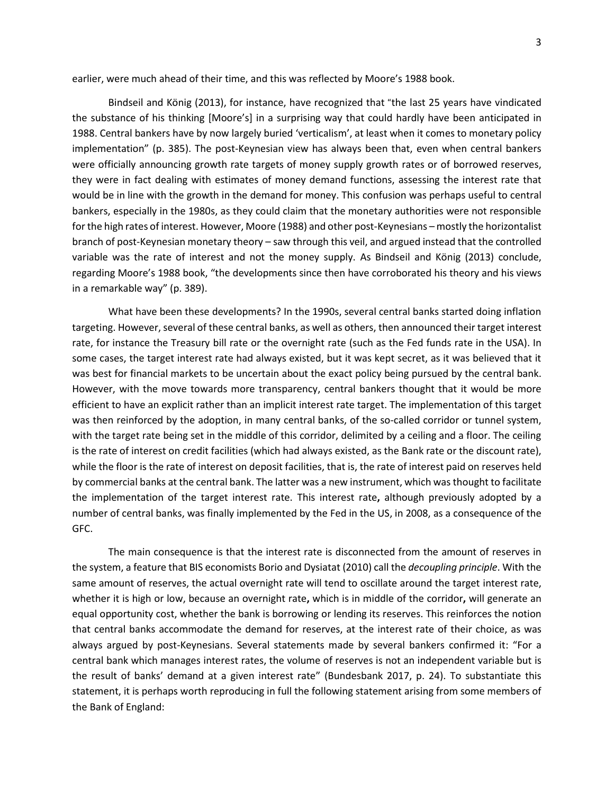earlier, were much ahead of their time, and this was reflected by Moore's 1988 book.

Bindseil and König (2013), for instance, have recognized that "the last 25 years have vindicated the substance of his thinking [Moore's] in a surprising way that could hardly have been anticipated in 1988. Central bankers have by now largely buried 'verticalism', at least when it comes to monetary policy implementation" (p. 385). The post-Keynesian view has always been that, even when central bankers were officially announcing growth rate targets of money supply growth rates or of borrowed reserves, they were in fact dealing with estimates of money demand functions, assessing the interest rate that would be in line with the growth in the demand for money. This confusion was perhaps useful to central bankers, especially in the 1980s, as they could claim that the monetary authorities were not responsible for the high rates of interest. However, Moore (1988) and other post-Keynesians – mostly the horizontalist branch of post-Keynesian monetary theory – saw through this veil, and argued instead that the controlled variable was the rate of interest and not the money supply. As Bindseil and König (2013) conclude, regarding Moore's 1988 book, "the developments since then have corroborated his theory and his views in a remarkable way" (p. 389).

What have been these developments? In the 1990s, several central banks started doing inflation targeting. However, several of these central banks, as well as others, then announced their target interest rate, for instance the Treasury bill rate or the overnight rate (such as the Fed funds rate in the USA). In some cases, the target interest rate had always existed, but it was kept secret, as it was believed that it was best for financial markets to be uncertain about the exact policy being pursued by the central bank. However, with the move towards more transparency, central bankers thought that it would be more efficient to have an explicit rather than an implicit interest rate target. The implementation of this target was then reinforced by the adoption, in many central banks, of the so-called corridor or tunnel system, with the target rate being set in the middle of this corridor, delimited by a ceiling and a floor. The ceiling is the rate of interest on credit facilities (which had always existed, as the Bank rate or the discount rate), while the floor is the rate of interest on deposit facilities, that is, the rate of interest paid on reserves held by commercial banks at the central bank. The latter was a new instrument, which was thought to facilitate the implementation of the target interest rate. This interest rate**,** although previously adopted by a number of central banks, was finally implemented by the Fed in the US, in 2008, as a consequence of the GFC.

The main consequence is that the interest rate is disconnected from the amount of reserves in the system, a feature that BIS economists Borio and Dysiatat (2010) call the *decoupling principle*. With the same amount of reserves, the actual overnight rate will tend to oscillate around the target interest rate, whether it is high or low, because an overnight rate**,** which is in middle of the corridor**,** will generate an equal opportunity cost, whether the bank is borrowing or lending its reserves. This reinforces the notion that central banks accommodate the demand for reserves, at the interest rate of their choice, as was always argued by post-Keynesians. Several statements made by several bankers confirmed it: "For a central bank which manages interest rates, the volume of reserves is not an independent variable but is the result of banks' demand at a given interest rate" (Bundesbank 2017, p. 24). To substantiate this statement, it is perhaps worth reproducing in full the following statement arising from some members of the Bank of England: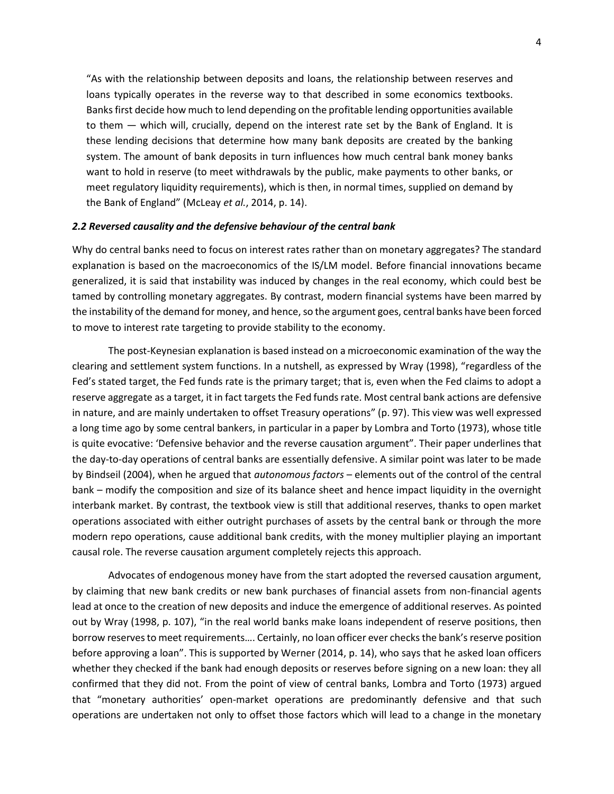"As with the relationship between deposits and loans, the relationship between reserves and loans typically operates in the reverse way to that described in some economics textbooks. Banks first decide how much to lend depending on the profitable lending opportunities available to them — which will, crucially, depend on the interest rate set by the Bank of England. It is these lending decisions that determine how many bank deposits are created by the banking system. The amount of bank deposits in turn influences how much central bank money banks want to hold in reserve (to meet withdrawals by the public, make payments to other banks, or meet regulatory liquidity requirements), which is then, in normal times, supplied on demand by the Bank of England" (McLeay *et al.*, 2014, p. 14).

#### *2.2 Reversed causality and the defensive behaviour of the central bank*

Why do central banks need to focus on interest rates rather than on monetary aggregates? The standard explanation is based on the macroeconomics of the IS/LM model. Before financial innovations became generalized, it is said that instability was induced by changes in the real economy, which could best be tamed by controlling monetary aggregates. By contrast, modern financial systems have been marred by the instability of the demand for money, and hence, so the argument goes, central banks have been forced to move to interest rate targeting to provide stability to the economy.

The post-Keynesian explanation is based instead on a microeconomic examination of the way the clearing and settlement system functions. In a nutshell, as expressed by Wray (1998), "regardless of the Fed's stated target, the Fed funds rate is the primary target; that is, even when the Fed claims to adopt a reserve aggregate as a target, it in fact targets the Fed funds rate. Most central bank actions are defensive in nature, and are mainly undertaken to offset Treasury operations" (p. 97). This view was well expressed a long time ago by some central bankers, in particular in a paper by Lombra and Torto (1973), whose title is quite evocative: 'Defensive behavior and the reverse causation argument". Their paper underlines that the day-to-day operations of central banks are essentially defensive. A similar point was later to be made by Bindseil (2004), when he argued that *autonomous factors* – elements out of the control of the central bank – modify the composition and size of its balance sheet and hence impact liquidity in the overnight interbank market. By contrast, the textbook view is still that additional reserves, thanks to open market operations associated with either outright purchases of assets by the central bank or through the more modern repo operations, cause additional bank credits, with the money multiplier playing an important causal role. The reverse causation argument completely rejects this approach.

Advocates of endogenous money have from the start adopted the reversed causation argument, by claiming that new bank credits or new bank purchases of financial assets from non-financial agents lead at once to the creation of new deposits and induce the emergence of additional reserves. As pointed out by Wray (1998, p. 107), "in the real world banks make loans independent of reserve positions, then borrow reserves to meet requirements…. Certainly, no loan officer ever checks the bank's reserve position before approving a loan". This is supported by Werner (2014, p. 14), who says that he asked loan officers whether they checked if the bank had enough deposits or reserves before signing on a new loan: they all confirmed that they did not. From the point of view of central banks, Lombra and Torto (1973) argued that "monetary authorities' open-market operations are predominantly defensive and that such operations are undertaken not only to offset those factors which will lead to a change in the monetary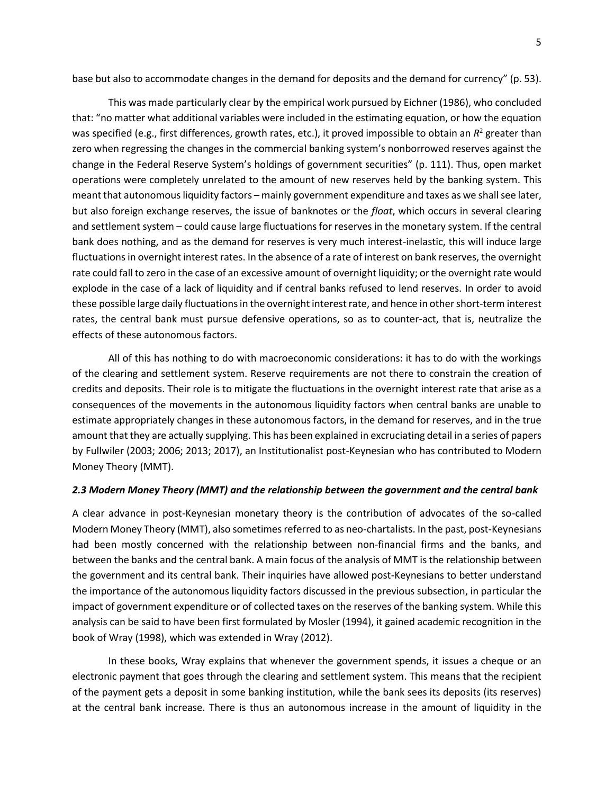base but also to accommodate changes in the demand for deposits and the demand for currency" (p. 53).

This was made particularly clear by the empirical work pursued by Eichner (1986), who concluded that: "no matter what additional variables were included in the estimating equation, or how the equation was specified (e.g., first differences, growth rates, etc.), it proved impossible to obtain an R<sup>2</sup> greater than zero when regressing the changes in the commercial banking system's nonborrowed reserves against the change in the Federal Reserve System's holdings of government securities" (p. 111). Thus, open market operations were completely unrelated to the amount of new reserves held by the banking system. This meant that autonomous liquidity factors – mainly government expenditure and taxes as we shall see later, but also foreign exchange reserves, the issue of banknotes or the *float*, which occurs in several clearing and settlement system – could cause large fluctuations for reserves in the monetary system. If the central bank does nothing, and as the demand for reserves is very much interest-inelastic, this will induce large fluctuations in overnight interest rates. In the absence of a rate of interest on bank reserves, the overnight rate could fall to zero in the case of an excessive amount of overnight liquidity; or the overnight rate would explode in the case of a lack of liquidity and if central banks refused to lend reserves. In order to avoid these possible large daily fluctuations in the overnight interest rate, and hence in other short-term interest rates, the central bank must pursue defensive operations, so as to counter-act, that is, neutralize the effects of these autonomous factors.

All of this has nothing to do with macroeconomic considerations: it has to do with the workings of the clearing and settlement system. Reserve requirements are not there to constrain the creation of credits and deposits. Their role is to mitigate the fluctuations in the overnight interest rate that arise as a consequences of the movements in the autonomous liquidity factors when central banks are unable to estimate appropriately changes in these autonomous factors, in the demand for reserves, and in the true amount that they are actually supplying. This has been explained in excruciating detail in a series of papers by Fullwiler (2003; 2006; 2013; 2017), an Institutionalist post-Keynesian who has contributed to Modern Money Theory (MMT).

## *2.3 Modern Money Theory (MMT) and the relationship between the government and the central bank*

A clear advance in post-Keynesian monetary theory is the contribution of advocates of the so-called Modern Money Theory (MMT), also sometimes referred to as neo-chartalists. In the past, post-Keynesians had been mostly concerned with the relationship between non-financial firms and the banks, and between the banks and the central bank. A main focus of the analysis of MMT is the relationship between the government and its central bank. Their inquiries have allowed post-Keynesians to better understand the importance of the autonomous liquidity factors discussed in the previous subsection, in particular the impact of government expenditure or of collected taxes on the reserves of the banking system. While this analysis can be said to have been first formulated by Mosler (1994), it gained academic recognition in the book of Wray (1998), which was extended in Wray (2012).

In these books, Wray explains that whenever the government spends, it issues a cheque or an electronic payment that goes through the clearing and settlement system. This means that the recipient of the payment gets a deposit in some banking institution, while the bank sees its deposits (its reserves) at the central bank increase. There is thus an autonomous increase in the amount of liquidity in the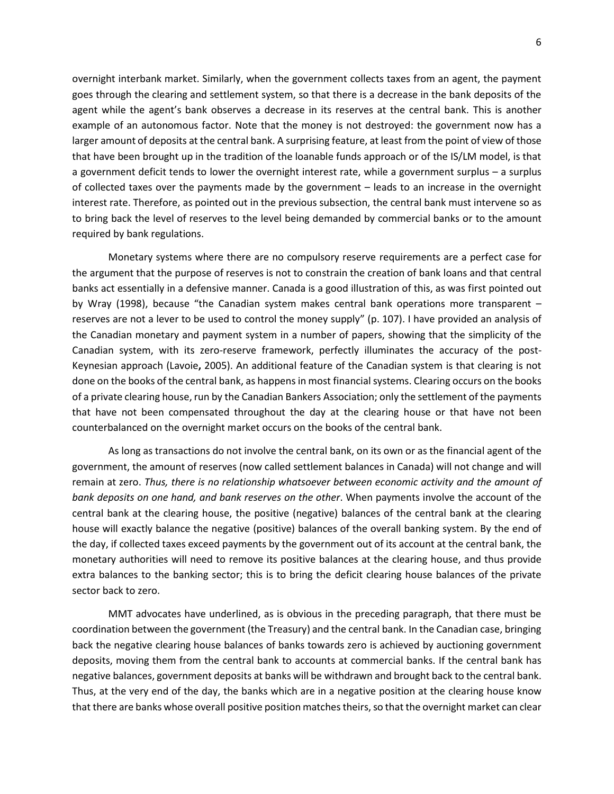overnight interbank market. Similarly, when the government collects taxes from an agent, the payment goes through the clearing and settlement system, so that there is a decrease in the bank deposits of the agent while the agent's bank observes a decrease in its reserves at the central bank. This is another example of an autonomous factor. Note that the money is not destroyed: the government now has a larger amount of deposits at the central bank. A surprising feature, at least from the point of view of those that have been brought up in the tradition of the loanable funds approach or of the IS/LM model, is that a government deficit tends to lower the overnight interest rate, while a government surplus – a surplus of collected taxes over the payments made by the government – leads to an increase in the overnight interest rate. Therefore, as pointed out in the previous subsection, the central bank must intervene so as to bring back the level of reserves to the level being demanded by commercial banks or to the amount required by bank regulations.

Monetary systems where there are no compulsory reserve requirements are a perfect case for the argument that the purpose of reserves is not to constrain the creation of bank loans and that central banks act essentially in a defensive manner. Canada is a good illustration of this, as was first pointed out by Wray (1998), because "the Canadian system makes central bank operations more transparent – reserves are not a lever to be used to control the money supply" (p. 107). I have provided an analysis of the Canadian monetary and payment system in a number of papers, showing that the simplicity of the Canadian system, with its zero-reserve framework, perfectly illuminates the accuracy of the post-Keynesian approach (Lavoie**,** 2005). An additional feature of the Canadian system is that clearing is not done on the books of the central bank, as happens in most financial systems. Clearing occurs on the books of a private clearing house, run by the Canadian Bankers Association; only the settlement of the payments that have not been compensated throughout the day at the clearing house or that have not been counterbalanced on the overnight market occurs on the books of the central bank.

As long as transactions do not involve the central bank, on its own or as the financial agent of the government, the amount of reserves (now called settlement balances in Canada) will not change and will remain at zero. *Thus, there is no relationship whatsoever between economic activity and the amount of bank deposits on one hand, and bank reserves on the other*. When payments involve the account of the central bank at the clearing house, the positive (negative) balances of the central bank at the clearing house will exactly balance the negative (positive) balances of the overall banking system. By the end of the day, if collected taxes exceed payments by the government out of its account at the central bank, the monetary authorities will need to remove its positive balances at the clearing house, and thus provide extra balances to the banking sector; this is to bring the deficit clearing house balances of the private sector back to zero.

MMT advocates have underlined, as is obvious in the preceding paragraph, that there must be coordination between the government (the Treasury) and the central bank. In the Canadian case, bringing back the negative clearing house balances of banks towards zero is achieved by auctioning government deposits, moving them from the central bank to accounts at commercial banks. If the central bank has negative balances, government deposits at banks will be withdrawn and brought back to the central bank. Thus, at the very end of the day, the banks which are in a negative position at the clearing house know that there are banks whose overall positive position matches theirs, so that the overnight market can clear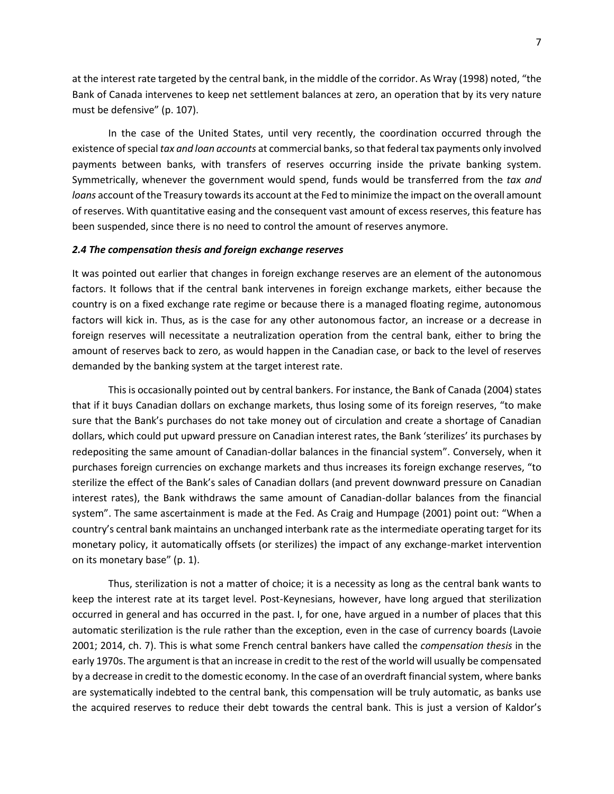at the interest rate targeted by the central bank, in the middle of the corridor. As Wray (1998) noted, "the Bank of Canada intervenes to keep net settlement balances at zero, an operation that by its very nature must be defensive" (p. 107).

In the case of the United States, until very recently, the coordination occurred through the existence of special *tax and loan accounts* at commercial banks, so that federal tax payments only involved payments between banks, with transfers of reserves occurring inside the private banking system. Symmetrically, whenever the government would spend, funds would be transferred from the *tax and loans* account of the Treasury towards its account at the Fed to minimize the impact on the overall amount of reserves. With quantitative easing and the consequent vast amount of excess reserves, this feature has been suspended, since there is no need to control the amount of reserves anymore.

#### *2.4 The compensation thesis and foreign exchange reserves*

It was pointed out earlier that changes in foreign exchange reserves are an element of the autonomous factors. It follows that if the central bank intervenes in foreign exchange markets, either because the country is on a fixed exchange rate regime or because there is a managed floating regime, autonomous factors will kick in. Thus, as is the case for any other autonomous factor, an increase or a decrease in foreign reserves will necessitate a neutralization operation from the central bank, either to bring the amount of reserves back to zero, as would happen in the Canadian case, or back to the level of reserves demanded by the banking system at the target interest rate.

This is occasionally pointed out by central bankers. For instance, the Bank of Canada (2004) states that if it buys Canadian dollars on exchange markets, thus losing some of its foreign reserves, "to make sure that the Bank's purchases do not take money out of circulation and create a shortage of Canadian dollars, which could put upward pressure on Canadian interest rates, the Bank 'sterilizes' its purchases by redepositing the same amount of Canadian-dollar balances in the financial system". Conversely, when it purchases foreign currencies on exchange markets and thus increases its foreign exchange reserves, "to sterilize the effect of the Bank's sales of Canadian dollars (and prevent downward pressure on Canadian interest rates), the Bank withdraws the same amount of Canadian-dollar balances from the financial system". The same ascertainment is made at the Fed. As Craig and Humpage (2001) point out: "When a country's central bank maintains an unchanged interbank rate as the intermediate operating target for its monetary policy, it automatically offsets (or sterilizes) the impact of any exchange-market intervention on its monetary base" (p. 1).

Thus, sterilization is not a matter of choice; it is a necessity as long as the central bank wants to keep the interest rate at its target level. Post-Keynesians, however, have long argued that sterilization occurred in general and has occurred in the past. I, for one, have argued in a number of places that this automatic sterilization is the rule rather than the exception, even in the case of currency boards (Lavoie 2001; 2014, ch. 7). This is what some French central bankers have called the *compensation thesis* in the early 1970s. The argument is that an increase in credit to the rest of the world will usually be compensated by a decrease in credit to the domestic economy. In the case of an overdraft financial system, where banks are systematically indebted to the central bank, this compensation will be truly automatic, as banks use the acquired reserves to reduce their debt towards the central bank. This is just a version of Kaldor's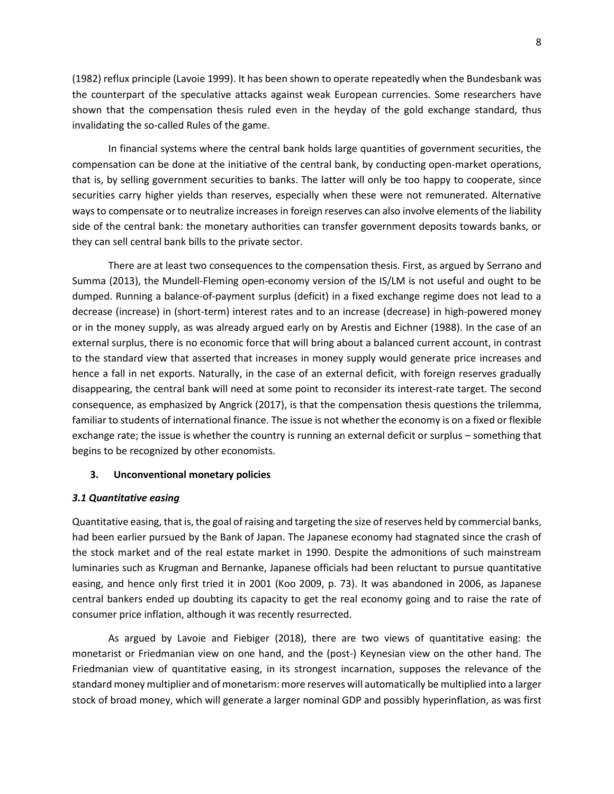(1982) reflux principle (Lavoie 1999). It has been shown to operate repeatedly when the Bundesbank was the counterpart of the speculative attacks against weak European currencies. Some researchers have shown that the compensation thesis ruled even in the heyday of the gold exchange standard, thus invalidating the so-called Rules of the game.

In financial systems where the central bank holds large quantities of government securities, the compensation can be done at the initiative of the central bank, by conducting open-market operations, that is, by selling government securities to banks. The latter will only be too happy to cooperate, since securities carry higher yields than reserves, especially when these were not remunerated. Alternative ways to compensate or to neutralize increases in foreign reserves can also involve elements of the liability side of the central bank: the monetary authorities can transfer government deposits towards banks, or they can sell central bank bills to the private sector.

There are at least two consequences to the compensation thesis. First, as argued by Serrano and Summa (2013), the Mundell-Fleming open-economy version of the IS/LM is not useful and ought to be dumped. Running a balance-of-payment surplus (deficit) in a fixed exchange regime does not lead to a decrease (increase) in (short-term) interest rates and to an increase (decrease) in high-powered money or in the money supply, as was already argued early on by Arestis and Eichner (1988). In the case of an external surplus, there is no economic force that will bring about a balanced current account, in contrast to the standard view that asserted that increases in money supply would generate price increases and hence a fall in net exports. Naturally, in the case of an external deficit, with foreign reserves gradually disappearing, the central bank will need at some point to reconsider its interest-rate target. The second consequence, as emphasized by Angrick (2017), is that the compensation thesis questions the trilemma, familiar to students of international finance. The issue is not whether the economy is on a fixed or flexible exchange rate; the issue is whether the country is running an external deficit or surplus – something that begins to be recognized by other economists.

## **3. Unconventional monetary policies**

## *3.1 Quantitative easing*

Quantitative easing, that is, the goal of raising and targeting the size of reserves held by commercial banks, had been earlier pursued by the Bank of Japan. The Japanese economy had stagnated since the crash of the stock market and of the real estate market in 1990. Despite the admonitions of such mainstream luminaries such as Krugman and Bernanke, Japanese officials had been reluctant to pursue quantitative easing, and hence only first tried it in 2001 (Koo 2009, p. 73). It was abandoned in 2006, as Japanese central bankers ended up doubting its capacity to get the real economy going and to raise the rate of consumer price inflation, although it was recently resurrected.

As argued by Lavoie and Fiebiger (2018), there are two views of quantitative easing: the monetarist or Friedmanian view on one hand, and the (post-) Keynesian view on the other hand. The Friedmanian view of quantitative easing, in its strongest incarnation, supposes the relevance of the standard money multiplier and of monetarism: more reserves will automatically be multiplied into a larger stock of broad money, which will generate a larger nominal GDP and possibly hyperinflation, as was first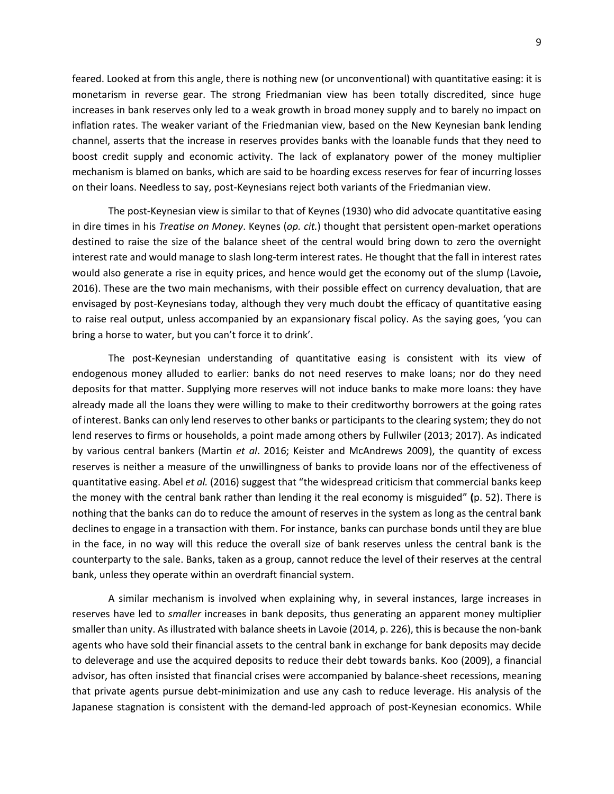feared. Looked at from this angle, there is nothing new (or unconventional) with quantitative easing: it is monetarism in reverse gear. The strong Friedmanian view has been totally discredited, since huge increases in bank reserves only led to a weak growth in broad money supply and to barely no impact on inflation rates. The weaker variant of the Friedmanian view, based on the New Keynesian bank lending channel, asserts that the increase in reserves provides banks with the loanable funds that they need to boost credit supply and economic activity. The lack of explanatory power of the money multiplier mechanism is blamed on banks, which are said to be hoarding excess reserves for fear of incurring losses on their loans. Needless to say, post-Keynesians reject both variants of the Friedmanian view.

The post-Keynesian view is similar to that of Keynes (1930) who did advocate quantitative easing in dire times in his *Treatise on Money*. Keynes (*op. cit.*) thought that persistent open-market operations destined to raise the size of the balance sheet of the central would bring down to zero the overnight interest rate and would manage to slash long-term interest rates. He thought that the fall in interest rates would also generate a rise in equity prices, and hence would get the economy out of the slump (Lavoie**,** 2016). These are the two main mechanisms, with their possible effect on currency devaluation, that are envisaged by post-Keynesians today, although they very much doubt the efficacy of quantitative easing to raise real output, unless accompanied by an expansionary fiscal policy. As the saying goes, 'you can bring a horse to water, but you can't force it to drink'.

The post-Keynesian understanding of quantitative easing is consistent with its view of endogenous money alluded to earlier: banks do not need reserves to make loans; nor do they need deposits for that matter. Supplying more reserves will not induce banks to make more loans: they have already made all the loans they were willing to make to their creditworthy borrowers at the going rates of interest. Banks can only lend reserves to other banks or participants to the clearing system; they do not lend reserves to firms or households, a point made among others by Fullwiler (2013; 2017). As indicated by various central bankers (Martin *et al*. 2016; Keister and McAndrews 2009), the quantity of excess reserves is neither a measure of the unwillingness of banks to provide loans nor of the effectiveness of quantitative easing. Abel *et al.* (2016) suggest that "the widespread criticism that commercial banks keep the money with the central bank rather than lending it the real economy is misguided" **(**p. 52). There is nothing that the banks can do to reduce the amount of reserves in the system as long as the central bank declines to engage in a transaction with them. For instance, banks can purchase bonds until they are blue in the face, in no way will this reduce the overall size of bank reserves unless the central bank is the counterparty to the sale. Banks, taken as a group, cannot reduce the level of their reserves at the central bank, unless they operate within an overdraft financial system.

A similar mechanism is involved when explaining why, in several instances, large increases in reserves have led to *smaller* increases in bank deposits, thus generating an apparent money multiplier smaller than unity. As illustrated with balance sheets in Lavoie (2014, p. 226), this is because the non-bank agents who have sold their financial assets to the central bank in exchange for bank deposits may decide to deleverage and use the acquired deposits to reduce their debt towards banks. Koo (2009), a financial advisor, has often insisted that financial crises were accompanied by balance-sheet recessions, meaning that private agents pursue debt-minimization and use any cash to reduce leverage. His analysis of the Japanese stagnation is consistent with the demand-led approach of post-Keynesian economics. While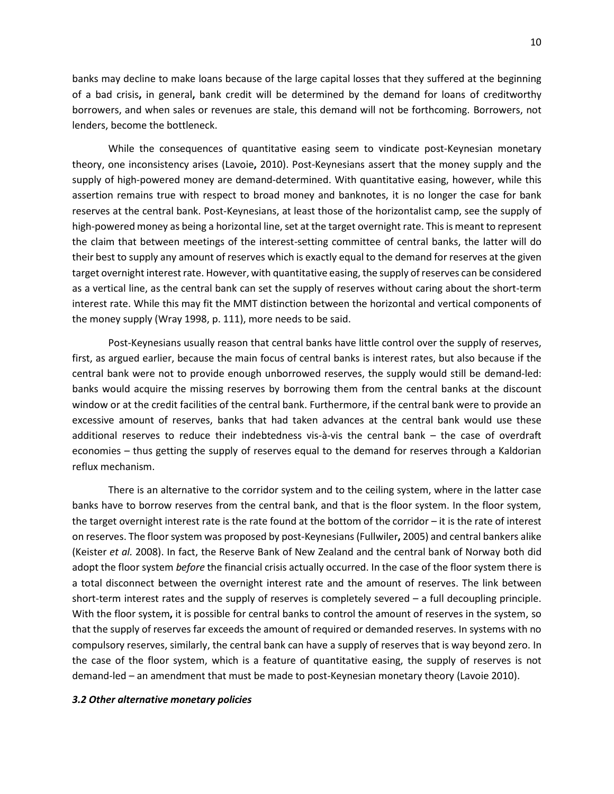banks may decline to make loans because of the large capital losses that they suffered at the beginning of a bad crisis**,** in general**,** bank credit will be determined by the demand for loans of creditworthy borrowers, and when sales or revenues are stale, this demand will not be forthcoming. Borrowers, not lenders, become the bottleneck.

While the consequences of quantitative easing seem to vindicate post-Keynesian monetary theory, one inconsistency arises (Lavoie**,** 2010). Post-Keynesians assert that the money supply and the supply of high-powered money are demand-determined. With quantitative easing, however, while this assertion remains true with respect to broad money and banknotes, it is no longer the case for bank reserves at the central bank. Post-Keynesians, at least those of the horizontalist camp, see the supply of high-powered money as being a horizontal line, set at the target overnight rate. This is meant to represent the claim that between meetings of the interest-setting committee of central banks, the latter will do their best to supply any amount of reserves which is exactly equal to the demand for reserves at the given target overnight interest rate. However, with quantitative easing, the supply of reserves can be considered as a vertical line, as the central bank can set the supply of reserves without caring about the short-term interest rate. While this may fit the MMT distinction between the horizontal and vertical components of the money supply (Wray 1998, p. 111), more needs to be said.

Post-Keynesians usually reason that central banks have little control over the supply of reserves, first, as argued earlier, because the main focus of central banks is interest rates, but also because if the central bank were not to provide enough unborrowed reserves, the supply would still be demand-led: banks would acquire the missing reserves by borrowing them from the central banks at the discount window or at the credit facilities of the central bank. Furthermore, if the central bank were to provide an excessive amount of reserves, banks that had taken advances at the central bank would use these additional reserves to reduce their indebtedness vis-à-vis the central bank – the case of overdraft economies – thus getting the supply of reserves equal to the demand for reserves through a Kaldorian reflux mechanism.

There is an alternative to the corridor system and to the ceiling system, where in the latter case banks have to borrow reserves from the central bank, and that is the floor system. In the floor system, the target overnight interest rate is the rate found at the bottom of the corridor – it is the rate of interest on reserves. The floor system was proposed by post-Keynesians (Fullwiler**,** 2005) and central bankers alike (Keister *et al.* 2008). In fact, the Reserve Bank of New Zealand and the central bank of Norway both did adopt the floor system *before* the financial crisis actually occurred. In the case of the floor system there is a total disconnect between the overnight interest rate and the amount of reserves. The link between short-term interest rates and the supply of reserves is completely severed – a full decoupling principle. With the floor system**,** it is possible for central banks to control the amount of reserves in the system, so that the supply of reserves far exceeds the amount of required or demanded reserves. In systems with no compulsory reserves, similarly, the central bank can have a supply of reserves that is way beyond zero. In the case of the floor system, which is a feature of quantitative easing, the supply of reserves is not demand-led – an amendment that must be made to post-Keynesian monetary theory (Lavoie 2010).

#### *3.2 Other alternative monetary policies*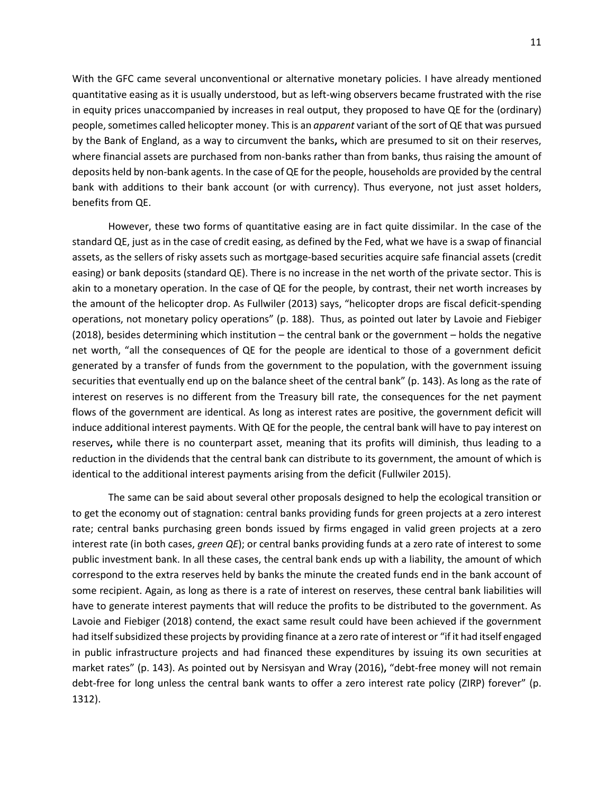With the GFC came several unconventional or alternative monetary policies. I have already mentioned quantitative easing as it is usually understood, but as left-wing observers became frustrated with the rise in equity prices unaccompanied by increases in real output, they proposed to have QE for the (ordinary) people, sometimes called helicopter money. This is an *apparent* variant of the sort of QE that was pursued by the Bank of England, as a way to circumvent the banks**,** which are presumed to sit on their reserves, where financial assets are purchased from non-banks rather than from banks, thus raising the amount of deposits held by non-bank agents. In the case of QE for the people, households are provided by the central bank with additions to their bank account (or with currency). Thus everyone, not just asset holders, benefits from QE.

However, these two forms of quantitative easing are in fact quite dissimilar. In the case of the standard QE, just as in the case of credit easing, as defined by the Fed, what we have is a swap of financial assets, as the sellers of risky assets such as mortgage-based securities acquire safe financial assets (credit easing) or bank deposits (standard QE). There is no increase in the net worth of the private sector. This is akin to a monetary operation. In the case of QE for the people, by contrast, their net worth increases by the amount of the helicopter drop. As Fullwiler (2013) says, "helicopter drops are fiscal deficit-spending operations, not monetary policy operations" (p. 188). Thus, as pointed out later by Lavoie and Fiebiger (2018), besides determining which institution – the central bank or the government – holds the negative net worth, "all the consequences of QE for the people are identical to those of a government deficit generated by a transfer of funds from the government to the population, with the government issuing securities that eventually end up on the balance sheet of the central bank" (p. 143). As long as the rate of interest on reserves is no different from the Treasury bill rate, the consequences for the net payment flows of the government are identical. As long as interest rates are positive, the government deficit will induce additional interest payments. With QE for the people, the central bank will have to pay interest on reserves**,** while there is no counterpart asset, meaning that its profits will diminish, thus leading to a reduction in the dividends that the central bank can distribute to its government, the amount of which is identical to the additional interest payments arising from the deficit (Fullwiler 2015).

The same can be said about several other proposals designed to help the ecological transition or to get the economy out of stagnation: central banks providing funds for green projects at a zero interest rate; central banks purchasing green bonds issued by firms engaged in valid green projects at a zero interest rate (in both cases, *green QE*); or central banks providing funds at a zero rate of interest to some public investment bank. In all these cases, the central bank ends up with a liability, the amount of which correspond to the extra reserves held by banks the minute the created funds end in the bank account of some recipient. Again, as long as there is a rate of interest on reserves, these central bank liabilities will have to generate interest payments that will reduce the profits to be distributed to the government. As Lavoie and Fiebiger (2018) contend, the exact same result could have been achieved if the government had itself subsidized these projects by providing finance at a zero rate of interest or "if it had itself engaged in public infrastructure projects and had financed these expenditures by issuing its own securities at market rates" (p. 143). As pointed out by Nersisyan and Wray (2016)**,** "debt-free money will not remain debt-free for long unless the central bank wants to offer a zero interest rate policy (ZIRP) forever" (p. 1312).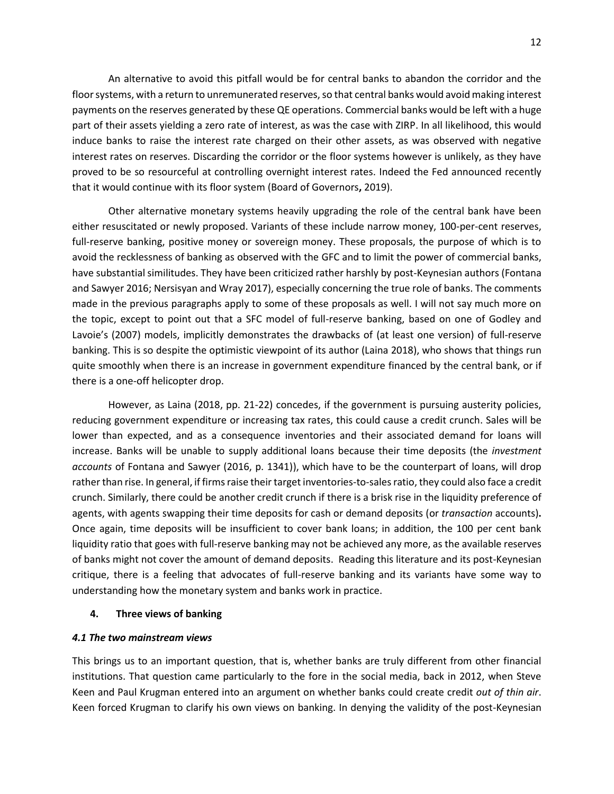An alternative to avoid this pitfall would be for central banks to abandon the corridor and the floor systems, with a return to unremunerated reserves, so that central banks would avoid making interest payments on the reserves generated by these QE operations. Commercial banks would be left with a huge part of their assets yielding a zero rate of interest, as was the case with ZIRP. In all likelihood, this would induce banks to raise the interest rate charged on their other assets, as was observed with negative interest rates on reserves. Discarding the corridor or the floor systems however is unlikely, as they have proved to be so resourceful at controlling overnight interest rates. Indeed the Fed announced recently that it would continue with its floor system (Board of Governors**,** 2019).

Other alternative monetary systems heavily upgrading the role of the central bank have been either resuscitated or newly proposed. Variants of these include narrow money, 100-per-cent reserves, full-reserve banking, positive money or sovereign money. These proposals, the purpose of which is to avoid the recklessness of banking as observed with the GFC and to limit the power of commercial banks, have substantial similitudes. They have been criticized rather harshly by post-Keynesian authors (Fontana and Sawyer 2016; Nersisyan and Wray 2017), especially concerning the true role of banks. The comments made in the previous paragraphs apply to some of these proposals as well. I will not say much more on the topic, except to point out that a SFC model of full-reserve banking, based on one of Godley and Lavoie's (2007) models, implicitly demonstrates the drawbacks of (at least one version) of full-reserve banking. This is so despite the optimistic viewpoint of its author (Laina 2018), who shows that things run quite smoothly when there is an increase in government expenditure financed by the central bank, or if there is a one-off helicopter drop.

However, as Laina (2018, pp. 21-22) concedes, if the government is pursuing austerity policies, reducing government expenditure or increasing tax rates, this could cause a credit crunch. Sales will be lower than expected, and as a consequence inventories and their associated demand for loans will increase. Banks will be unable to supply additional loans because their time deposits (the *investment accounts* of Fontana and Sawyer (2016, p. 1341)), which have to be the counterpart of loans, will drop rather than rise. In general, if firms raise their target inventories-to-sales ratio, they could also face a credit crunch. Similarly, there could be another credit crunch if there is a brisk rise in the liquidity preference of agents, with agents swapping their time deposits for cash or demand deposits (or *transaction* accounts)**.**  Once again, time deposits will be insufficient to cover bank loans; in addition, the 100 per cent bank liquidity ratio that goes with full-reserve banking may not be achieved any more, as the available reserves of banks might not cover the amount of demand deposits. Reading this literature and its post-Keynesian critique, there is a feeling that advocates of full-reserve banking and its variants have some way to understanding how the monetary system and banks work in practice.

## **4. Three views of banking**

## *4.1 The two mainstream views*

This brings us to an important question, that is, whether banks are truly different from other financial institutions. That question came particularly to the fore in the social media, back in 2012, when Steve Keen and Paul Krugman entered into an argument on whether banks could create credit *out of thin air*. Keen forced Krugman to clarify his own views on banking. In denying the validity of the post-Keynesian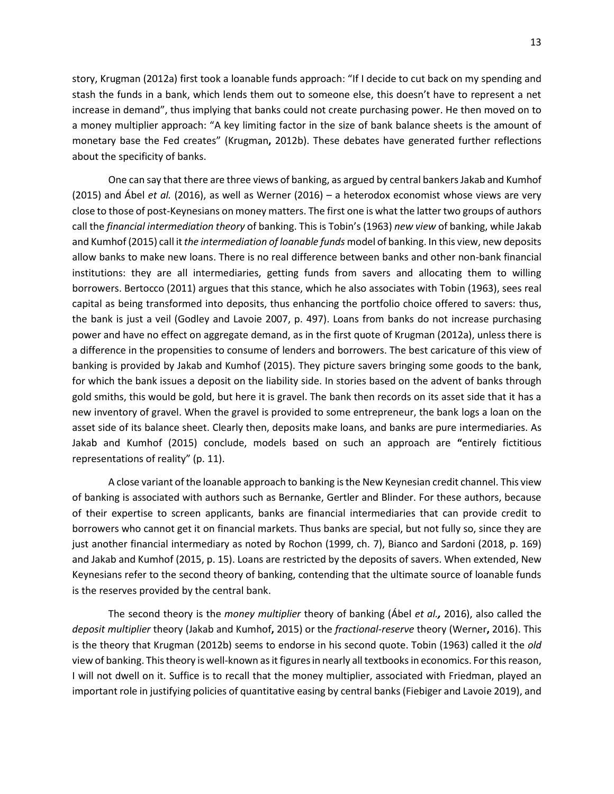story, Krugman (2012a) first took a loanable funds approach: "If I decide to cut back on my spending and stash the funds in a bank, which lends them out to someone else, this doesn't have to represent a net increase in demand", thus implying that banks could not create purchasing power. He then moved on to a money multiplier approach: "A key limiting factor in the size of bank balance sheets is the amount of monetary base the Fed creates" (Krugman**,** 2012b). These debates have generated further reflections about the specificity of banks.

One can say that there are three views of banking, as argued by central bankers Jakab and Kumhof (2015) and Ábel *et al.* (2016), as well as Werner (2016) – a heterodox economist whose views are very close to those of post-Keynesians on money matters. The first one is what the latter two groups of authors call the *financial intermediation theory* of banking. This is Tobin's (1963) *new view* of banking, while Jakab and Kumhof (2015) call it *the intermediation of loanable funds* model of banking. In this view, new deposits allow banks to make new loans. There is no real difference between banks and other non-bank financial institutions: they are all intermediaries, getting funds from savers and allocating them to willing borrowers. Bertocco (2011) argues that this stance, which he also associates with Tobin (1963), sees real capital as being transformed into deposits, thus enhancing the portfolio choice offered to savers: thus, the bank is just a veil (Godley and Lavoie 2007, p. 497). Loans from banks do not increase purchasing power and have no effect on aggregate demand, as in the first quote of Krugman (2012a), unless there is a difference in the propensities to consume of lenders and borrowers. The best caricature of this view of banking is provided by Jakab and Kumhof (2015). They picture savers bringing some goods to the bank, for which the bank issues a deposit on the liability side. In stories based on the advent of banks through gold smiths, this would be gold, but here it is gravel. The bank then records on its asset side that it has a new inventory of gravel. When the gravel is provided to some entrepreneur, the bank logs a loan on the asset side of its balance sheet. Clearly then, deposits make loans, and banks are pure intermediaries. As Jakab and Kumhof (2015) conclude, models based on such an approach are **"**entirely fictitious representations of reality" (p. 11).

A close variant of the loanable approach to banking is the New Keynesian credit channel. This view of banking is associated with authors such as Bernanke, Gertler and Blinder. For these authors, because of their expertise to screen applicants, banks are financial intermediaries that can provide credit to borrowers who cannot get it on financial markets. Thus banks are special, but not fully so, since they are just another financial intermediary as noted by Rochon (1999, ch. 7), Bianco and Sardoni (2018, p. 169) and Jakab and Kumhof (2015, p. 15). Loans are restricted by the deposits of savers. When extended, New Keynesians refer to the second theory of banking, contending that the ultimate source of loanable funds is the reserves provided by the central bank.

The second theory is the *money multiplier* theory of banking (Ábel *et al.,* 2016), also called the *deposit multiplier* theory (Jakab and Kumhof**,** 2015) or the *fractional-reserve* theory (Werner**,** 2016). This is the theory that Krugman (2012b) seems to endorse in his second quote. Tobin (1963) called it the *old* view of banking. This theory is well-known as it figures in nearly all textbooks in economics. For this reason, I will not dwell on it. Suffice is to recall that the money multiplier, associated with Friedman, played an important role in justifying policies of quantitative easing by central banks (Fiebiger and Lavoie 2019), and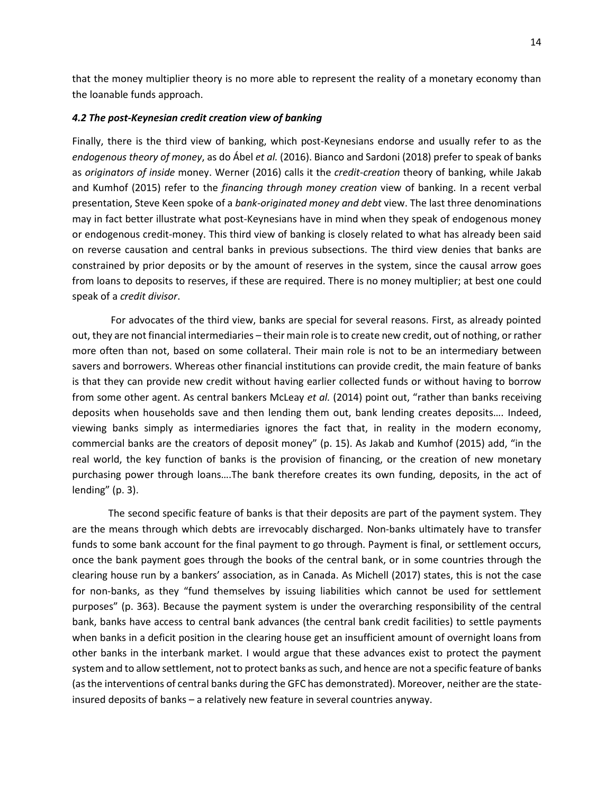that the money multiplier theory is no more able to represent the reality of a monetary economy than the loanable funds approach.

#### *4.2 The post-Keynesian credit creation view of banking*

Finally, there is the third view of banking, which post-Keynesians endorse and usually refer to as the *endogenous theory of money*, as do Ábel *et al.* (2016). Bianco and Sardoni (2018) prefer to speak of banks as *originators of inside* money. Werner (2016) calls it the *credit-creation* theory of banking, while Jakab and Kumhof (2015) refer to the *financing through money creation* view of banking. In a recent verbal presentation, Steve Keen spoke of a *bank-originated money and debt* view. The last three denominations may in fact better illustrate what post-Keynesians have in mind when they speak of endogenous money or endogenous credit-money. This third view of banking is closely related to what has already been said on reverse causation and central banks in previous subsections. The third view denies that banks are constrained by prior deposits or by the amount of reserves in the system, since the causal arrow goes from loans to deposits to reserves, if these are required. There is no money multiplier; at best one could speak of a *credit divisor*.

For advocates of the third view, banks are special for several reasons. First, as already pointed out, they are not financial intermediaries – their main role is to create new credit, out of nothing, or rather more often than not, based on some collateral. Their main role is not to be an intermediary between savers and borrowers. Whereas other financial institutions can provide credit, the main feature of banks is that they can provide new credit without having earlier collected funds or without having to borrow from some other agent. As central bankers McLeay *et al.* (2014) point out, "rather than banks receiving deposits when households save and then lending them out, bank lending creates deposits…. Indeed, viewing banks simply as intermediaries ignores the fact that, in reality in the modern economy, commercial banks are the creators of deposit money" (p. 15). As Jakab and Kumhof (2015) add, "in the real world, the key function of banks is the provision of financing, or the creation of new monetary purchasing power through loans….The bank therefore creates its own funding, deposits, in the act of lending" (p. 3).

The second specific feature of banks is that their deposits are part of the payment system. They are the means through which debts are irrevocably discharged. Non-banks ultimately have to transfer funds to some bank account for the final payment to go through. Payment is final, or settlement occurs, once the bank payment goes through the books of the central bank, or in some countries through the clearing house run by a bankers' association, as in Canada. As Michell (2017) states, this is not the case for non-banks, as they "fund themselves by issuing liabilities which cannot be used for settlement purposes" (p. 363). Because the payment system is under the overarching responsibility of the central bank, banks have access to central bank advances (the central bank credit facilities) to settle payments when banks in a deficit position in the clearing house get an insufficient amount of overnight loans from other banks in the interbank market. I would argue that these advances exist to protect the payment system and to allow settlement, not to protect banks as such, and hence are not a specific feature of banks (as the interventions of central banks during the GFC has demonstrated). Moreover, neither are the stateinsured deposits of banks – a relatively new feature in several countries anyway.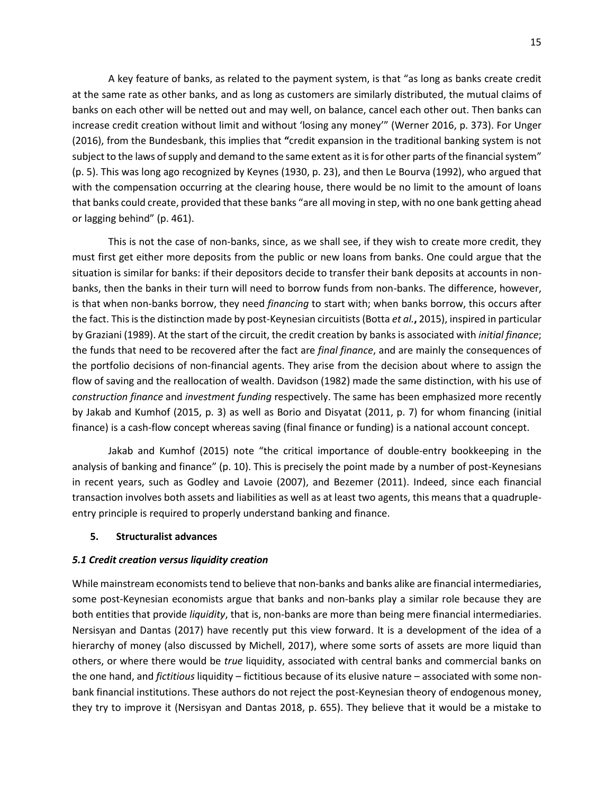A key feature of banks, as related to the payment system, is that "as long as banks create credit at the same rate as other banks, and as long as customers are similarly distributed, the mutual claims of banks on each other will be netted out and may well, on balance, cancel each other out. Then banks can increase credit creation without limit and without 'losing any money'" (Werner 2016, p. 373). For Unger (2016), from the Bundesbank, this implies that **"**credit expansion in the traditional banking system is not subject to the laws of supply and demand to the same extent as it is for other parts of the financial system" (p. 5). This was long ago recognized by Keynes (1930, p. 23), and then Le Bourva (1992), who argued that with the compensation occurring at the clearing house, there would be no limit to the amount of loans that banks could create, provided that these banks "are all moving in step, with no one bank getting ahead or lagging behind" (p. 461).

This is not the case of non-banks, since, as we shall see, if they wish to create more credit, they must first get either more deposits from the public or new loans from banks. One could argue that the situation is similar for banks: if their depositors decide to transfer their bank deposits at accounts in nonbanks, then the banks in their turn will need to borrow funds from non-banks. The difference, however, is that when non-banks borrow, they need *financing* to start with; when banks borrow, this occurs after the fact. This is the distinction made by post-Keynesian circuitists (Botta *et al.***,** 2015), inspired in particular by Graziani (1989). At the start of the circuit, the credit creation by banks is associated with *initial finance*; the funds that need to be recovered after the fact are *final finance*, and are mainly the consequences of the portfolio decisions of non-financial agents. They arise from the decision about where to assign the flow of saving and the reallocation of wealth. Davidson (1982) made the same distinction, with his use of *construction finance* and *investment funding* respectively. The same has been emphasized more recently by Jakab and Kumhof (2015, p. 3) as well as Borio and Disyatat (2011, p. 7) for whom financing (initial finance) is a cash-flow concept whereas saving (final finance or funding) is a national account concept.

Jakab and Kumhof (2015) note "the critical importance of double-entry bookkeeping in the analysis of banking and finance" (p. 10). This is precisely the point made by a number of post-Keynesians in recent years, such as Godley and Lavoie (2007), and Bezemer (2011). Indeed, since each financial transaction involves both assets and liabilities as well as at least two agents, this means that a quadrupleentry principle is required to properly understand banking and finance.

## **5. Structuralist advances**

## *5.1 Credit creation versus liquidity creation*

While mainstream economists tend to believe that non-banks and banks alike are financial intermediaries, some post-Keynesian economists argue that banks and non-banks play a similar role because they are both entities that provide *liquidity*, that is, non-banks are more than being mere financial intermediaries. Nersisyan and Dantas (2017) have recently put this view forward. It is a development of the idea of a hierarchy of money (also discussed by Michell, 2017), where some sorts of assets are more liquid than others, or where there would be *true* liquidity, associated with central banks and commercial banks on the one hand, and *fictitious* liquidity – fictitious because of its elusive nature – associated with some nonbank financial institutions. These authors do not reject the post-Keynesian theory of endogenous money, they try to improve it (Nersisyan and Dantas 2018, p. 655). They believe that it would be a mistake to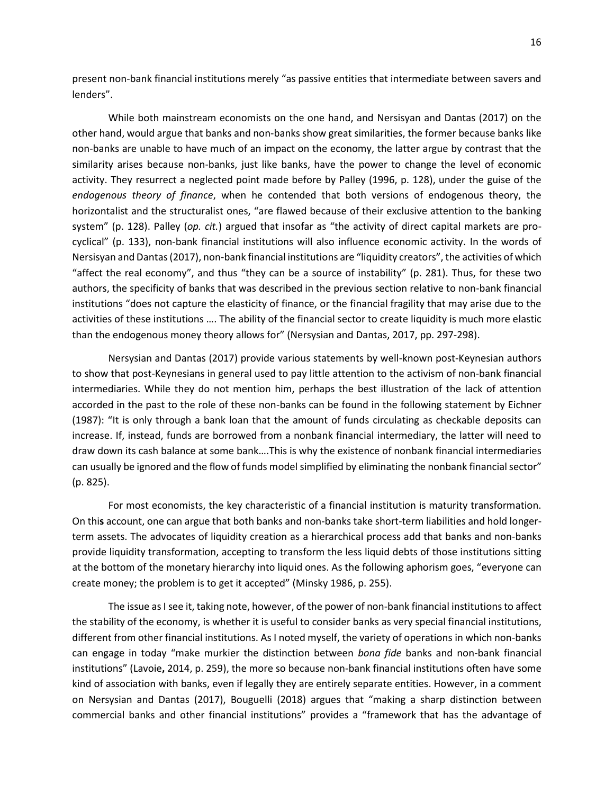present non-bank financial institutions merely "as passive entities that intermediate between savers and lenders".

While both mainstream economists on the one hand, and Nersisyan and Dantas (2017) on the other hand, would argue that banks and non-banks show great similarities, the former because banks like non-banks are unable to have much of an impact on the economy, the latter argue by contrast that the similarity arises because non-banks, just like banks, have the power to change the level of economic activity. They resurrect a neglected point made before by Palley (1996, p. 128), under the guise of the *endogenous theory of finance*, when he contended that both versions of endogenous theory, the horizontalist and the structuralist ones, "are flawed because of their exclusive attention to the banking system" (p. 128). Palley (*op. cit.*) argued that insofar as "the activity of direct capital markets are procyclical" (p. 133), non-bank financial institutions will also influence economic activity. In the words of Nersisyan and Dantas (2017), non-bank financial institutions are "liquidity creators", the activities of which "affect the real economy", and thus "they can be a source of instability" (p. 281). Thus, for these two authors, the specificity of banks that was described in the previous section relative to non-bank financial institutions "does not capture the elasticity of finance, or the financial fragility that may arise due to the activities of these institutions …. The ability of the financial sector to create liquidity is much more elastic than the endogenous money theory allows for" (Nersysian and Dantas, 2017, pp. 297-298).

Nersysian and Dantas (2017) provide various statements by well-known post-Keynesian authors to show that post-Keynesians in general used to pay little attention to the activism of non-bank financial intermediaries. While they do not mention him, perhaps the best illustration of the lack of attention accorded in the past to the role of these non-banks can be found in the following statement by Eichner (1987): "It is only through a bank loan that the amount of funds circulating as checkable deposits can increase. If, instead, funds are borrowed from a nonbank financial intermediary, the latter will need to draw down its cash balance at some bank….This is why the existence of nonbank financial intermediaries can usually be ignored and the flow of funds model simplified by eliminating the nonbank financial sector" (p. 825).

For most economists, the key characteristic of a financial institution is maturity transformation. On thi**s** account, one can argue that both banks and non-banks take short-term liabilities and hold longerterm assets. The advocates of liquidity creation as a hierarchical process add that banks and non-banks provide liquidity transformation, accepting to transform the less liquid debts of those institutions sitting at the bottom of the monetary hierarchy into liquid ones. As the following aphorism goes, "everyone can create money; the problem is to get it accepted" (Minsky 1986, p. 255).

The issue as I see it, taking note, however, of the power of non-bank financial institutions to affect the stability of the economy, is whether it is useful to consider banks as very special financial institutions, different from other financial institutions. As I noted myself, the variety of operations in which non-banks can engage in today "make murkier the distinction between *bona fide* banks and non-bank financial institutions" (Lavoie**,** 2014, p. 259), the more so because non-bank financial institutions often have some kind of association with banks, even if legally they are entirely separate entities. However, in a comment on Nersysian and Dantas (2017), Bouguelli (2018) argues that "making a sharp distinction between commercial banks and other financial institutions" provides a "framework that has the advantage of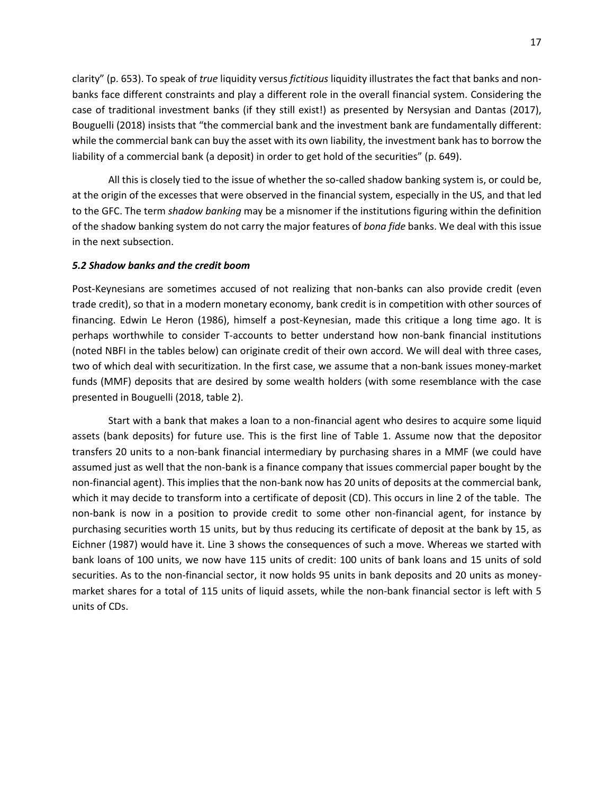clarity" (p. 653). To speak of *true* liquidity versus *fictitious* liquidity illustrates the fact that banks and nonbanks face different constraints and play a different role in the overall financial system. Considering the case of traditional investment banks (if they still exist!) as presented by Nersysian and Dantas (2017), Bouguelli (2018) insists that "the commercial bank and the investment bank are fundamentally different: while the commercial bank can buy the asset with its own liability, the investment bank has to borrow the liability of a commercial bank (a deposit) in order to get hold of the securities" (p. 649).

All this is closely tied to the issue of whether the so-called shadow banking system is, or could be, at the origin of the excesses that were observed in the financial system, especially in the US, and that led to the GFC. The term *shadow banking* may be a misnomer if the institutions figuring within the definition of the shadow banking system do not carry the major features of *bona fide* banks. We deal with this issue in the next subsection.

#### *5.2 Shadow banks and the credit boom*

Post-Keynesians are sometimes accused of not realizing that non-banks can also provide credit (even trade credit), so that in a modern monetary economy, bank credit is in competition with other sources of financing. Edwin Le Heron (1986), himself a post-Keynesian, made this critique a long time ago. It is perhaps worthwhile to consider T-accounts to better understand how non-bank financial institutions (noted NBFI in the tables below) can originate credit of their own accord. We will deal with three cases, two of which deal with securitization. In the first case, we assume that a non-bank issues money-market funds (MMF) deposits that are desired by some wealth holders (with some resemblance with the case presented in Bouguelli (2018, table 2).

Start with a bank that makes a loan to a non-financial agent who desires to acquire some liquid assets (bank deposits) for future use. This is the first line of Table 1. Assume now that the depositor transfers 20 units to a non-bank financial intermediary by purchasing shares in a MMF (we could have assumed just as well that the non-bank is a finance company that issues commercial paper bought by the non-financial agent). This implies that the non-bank now has 20 units of deposits at the commercial bank, which it may decide to transform into a certificate of deposit (CD). This occurs in line 2 of the table. The non-bank is now in a position to provide credit to some other non-financial agent, for instance by purchasing securities worth 15 units, but by thus reducing its certificate of deposit at the bank by 15, as Eichner (1987) would have it. Line 3 shows the consequences of such a move. Whereas we started with bank loans of 100 units, we now have 115 units of credit: 100 units of bank loans and 15 units of sold securities. As to the non-financial sector, it now holds 95 units in bank deposits and 20 units as moneymarket shares for a total of 115 units of liquid assets, while the non-bank financial sector is left with 5 units of CDs.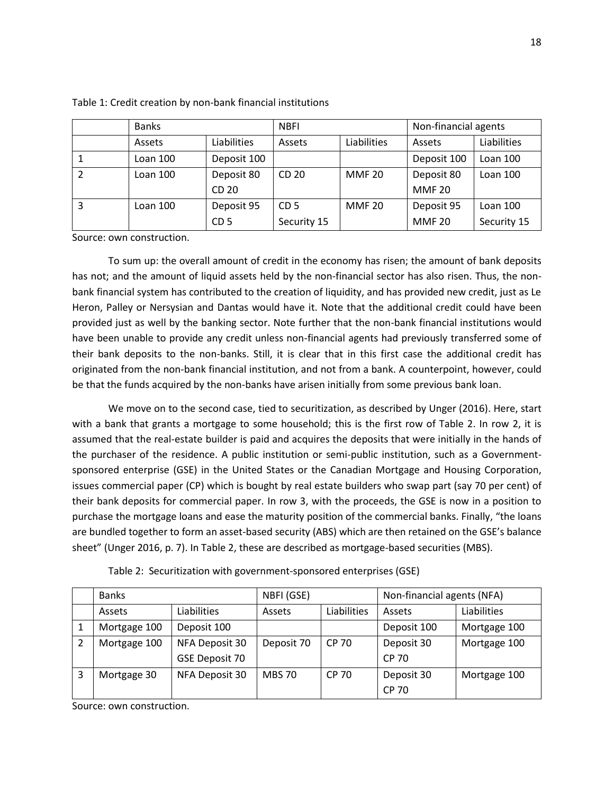|   | <b>Banks</b> |                  | <b>NBFI</b>     |               | Non-financial agents |                 |
|---|--------------|------------------|-----------------|---------------|----------------------|-----------------|
|   | Assets       | Liabilities      | Assets          | Liabilities   | Assets               | Liabilities     |
|   | Loan 100     | Deposit 100      |                 |               | Deposit 100          | <b>Loan 100</b> |
|   | Loan 100     | Deposit 80       | CD 20           | <b>MMF 20</b> | Deposit 80           | <b>Loan 100</b> |
|   |              | CD <sub>20</sub> |                 |               | <b>MMF 20</b>        |                 |
| Э | Loan 100     | Deposit 95       | CD <sub>5</sub> | <b>MMF 20</b> | Deposit 95           | <b>Loan 100</b> |
|   |              | CD <sub>5</sub>  | Security 15     |               | <b>MMF 20</b>        | Security 15     |

Table 1: Credit creation by non-bank financial institutions

Source: own construction.

To sum up: the overall amount of credit in the economy has risen; the amount of bank deposits has not; and the amount of liquid assets held by the non-financial sector has also risen. Thus, the nonbank financial system has contributed to the creation of liquidity, and has provided new credit, just as Le Heron, Palley or Nersysian and Dantas would have it. Note that the additional credit could have been provided just as well by the banking sector. Note further that the non-bank financial institutions would have been unable to provide any credit unless non-financial agents had previously transferred some of their bank deposits to the non-banks. Still, it is clear that in this first case the additional credit has originated from the non-bank financial institution, and not from a bank. A counterpoint, however, could be that the funds acquired by the non-banks have arisen initially from some previous bank loan.

We move on to the second case, tied to securitization, as described by Unger (2016). Here, start with a bank that grants a mortgage to some household; this is the first row of Table 2. In row 2, it is assumed that the real-estate builder is paid and acquires the deposits that were initially in the hands of the purchaser of the residence. A public institution or semi-public institution, such as a Governmentsponsored enterprise (GSE) in the United States or the Canadian Mortgage and Housing Corporation, issues commercial paper (CP) which is bought by real estate builders who swap part (say 70 per cent) of their bank deposits for commercial paper. In row 3, with the proceeds, the GSE is now in a position to purchase the mortgage loans and ease the maturity position of the commercial banks. Finally, "the loans are bundled together to form an asset-based security (ABS) which are then retained on the GSE's balance sheet" (Unger 2016, p. 7). In Table 2, these are described as mortgage-based securities (MBS).

|   | <b>Banks</b> |                    | NBFI (GSE)    |             | Non-financial agents (NFA) |              |
|---|--------------|--------------------|---------------|-------------|----------------------------|--------------|
|   | Assets       | <b>Liabilities</b> | Assets        | Liabilities | Assets                     | Liabilities  |
|   | Mortgage 100 | Deposit 100        |               |             | Deposit 100                | Mortgage 100 |
| 2 | Mortgage 100 | NFA Deposit 30     | Deposit 70    | CP 70       | Deposit 30                 | Mortgage 100 |
|   |              | GSE Deposit 70     |               |             | CP 70                      |              |
| ς | Mortgage 30  | NFA Deposit 30     | <b>MBS 70</b> | CP 70       | Deposit 30                 | Mortgage 100 |
|   |              |                    |               |             | CP 70                      |              |

Table 2: Securitization with government-sponsored enterprises (GSE)

Source: own construction.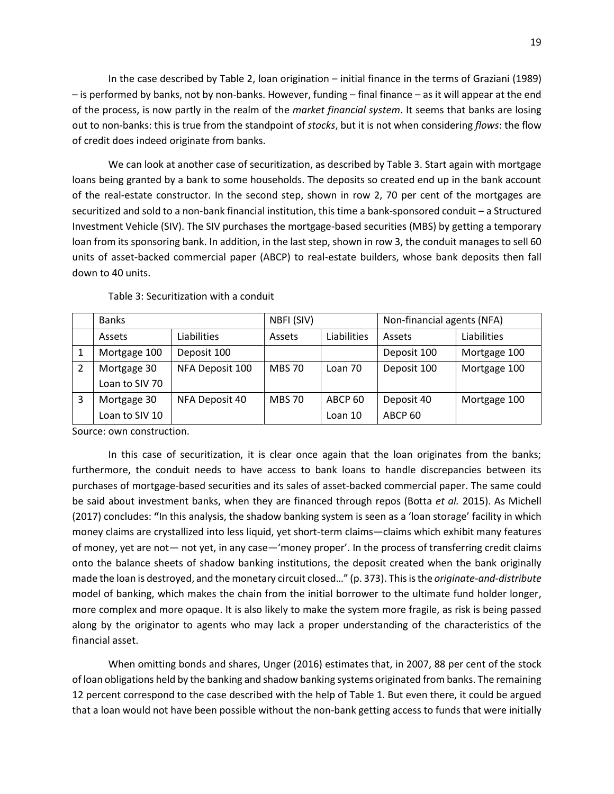In the case described by Table 2, loan origination – initial finance in the terms of Graziani (1989) – is performed by banks, not by non-banks. However, funding – final finance – as it will appear at the end of the process, is now partly in the realm of the *market financial system*. It seems that banks are losing out to non-banks: this is true from the standpoint of *stocks*, but it is not when considering *flows*: the flow of credit does indeed originate from banks.

We can look at another case of securitization, as described by Table 3. Start again with mortgage loans being granted by a bank to some households. The deposits so created end up in the bank account of the real-estate constructor. In the second step, shown in row 2, 70 per cent of the mortgages are securitized and sold to a non-bank financial institution, this time a bank-sponsored conduit – a Structured Investment Vehicle (SIV). The SIV purchases the mortgage-based securities (MBS) by getting a temporary loan from its sponsoring bank. In addition, in the last step, shown in row 3, the conduit manages to sell 60 units of asset-backed commercial paper (ABCP) to real-estate builders, whose bank deposits then fall down to 40 units.

|   | <b>Banks</b>   |                    | NBFI (SIV)    |             | Non-financial agents (NFA) |              |
|---|----------------|--------------------|---------------|-------------|----------------------------|--------------|
|   | Assets         | <b>Liabilities</b> | Assets        | Liabilities | Assets                     | Liabilities  |
|   | Mortgage 100   | Deposit 100        |               |             | Deposit 100                | Mortgage 100 |
| 2 | Mortgage 30    | NFA Deposit 100    | <b>MBS 70</b> | Loan 70     | Deposit 100                | Mortgage 100 |
|   | Loan to SIV 70 |                    |               |             |                            |              |
| 3 | Mortgage 30    | NFA Deposit 40     | <b>MBS 70</b> | ABCP 60     | Deposit 40                 | Mortgage 100 |
|   | Loan to SIV 10 |                    |               | Loan 10     | ABCP <sub>60</sub>         |              |

Table 3: Securitization with a conduit

Source: own construction.

In this case of securitization, it is clear once again that the loan originates from the banks; furthermore, the conduit needs to have access to bank loans to handle discrepancies between its purchases of mortgage-based securities and its sales of asset-backed commercial paper. The same could be said about investment banks, when they are financed through repos (Botta *et al.* 2015). As Michell (2017) concludes: **"**In this analysis, the shadow banking system is seen as a 'loan storage' facility in which money claims are crystallized into less liquid, yet short-term claims—claims which exhibit many features of money, yet are not— not yet, in any case—'money proper'. In the process of transferring credit claims onto the balance sheets of shadow banking institutions, the deposit created when the bank originally made the loan is destroyed, and the monetary circuit closed…" (p. 373). This is the *originate-and-distribute* model of banking, which makes the chain from the initial borrower to the ultimate fund holder longer, more complex and more opaque. It is also likely to make the system more fragile, as risk is being passed along by the originator to agents who may lack a proper understanding of the characteristics of the financial asset.

When omitting bonds and shares, Unger (2016) estimates that, in 2007, 88 per cent of the stock of loan obligations held by the banking and shadow banking systems originated from banks. The remaining 12 percent correspond to the case described with the help of Table 1. But even there, it could be argued that a loan would not have been possible without the non-bank getting access to funds that were initially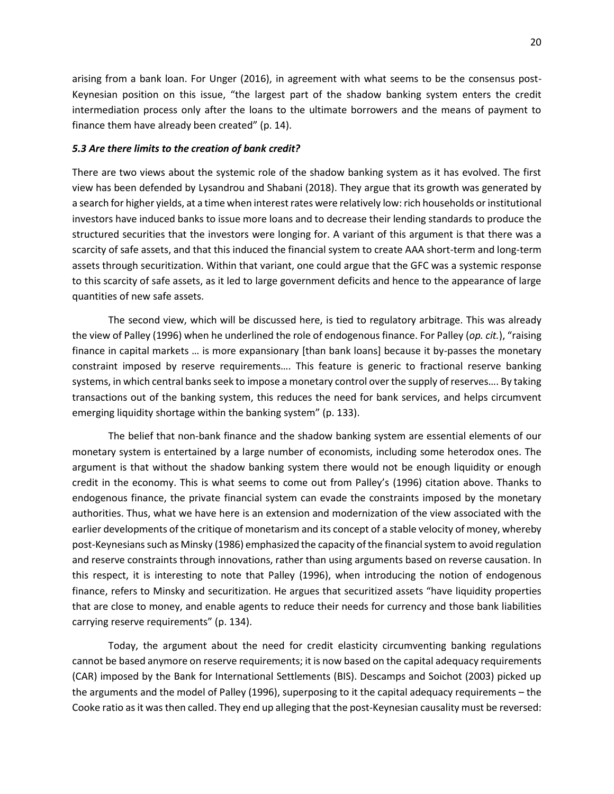arising from a bank loan. For Unger (2016), in agreement with what seems to be the consensus post-Keynesian position on this issue, "the largest part of the shadow banking system enters the credit intermediation process only after the loans to the ultimate borrowers and the means of payment to finance them have already been created" (p. 14).

#### *5.3 Are there limits to the creation of bank credit?*

There are two views about the systemic role of the shadow banking system as it has evolved. The first view has been defended by Lysandrou and Shabani (2018). They argue that its growth was generated by a search for higher yields, at a time when interest rates were relatively low: rich households or institutional investors have induced banks to issue more loans and to decrease their lending standards to produce the structured securities that the investors were longing for. A variant of this argument is that there was a scarcity of safe assets, and that this induced the financial system to create AAA short-term and long-term assets through securitization. Within that variant, one could argue that the GFC was a systemic response to this scarcity of safe assets, as it led to large government deficits and hence to the appearance of large quantities of new safe assets.

The second view, which will be discussed here, is tied to regulatory arbitrage. This was already the view of Palley (1996) when he underlined the role of endogenous finance. For Palley (*op. cit.*), "raising finance in capital markets … is more expansionary [than bank loans] because it by-passes the monetary constraint imposed by reserve requirements…. This feature is generic to fractional reserve banking systems, in which central banks seek to impose a monetary control over the supply of reserves…. By taking transactions out of the banking system, this reduces the need for bank services, and helps circumvent emerging liquidity shortage within the banking system" (p. 133).

The belief that non-bank finance and the shadow banking system are essential elements of our monetary system is entertained by a large number of economists, including some heterodox ones. The argument is that without the shadow banking system there would not be enough liquidity or enough credit in the economy. This is what seems to come out from Palley's (1996) citation above. Thanks to endogenous finance, the private financial system can evade the constraints imposed by the monetary authorities. Thus, what we have here is an extension and modernization of the view associated with the earlier developments of the critique of monetarism and its concept of a stable velocity of money, whereby post-Keynesians such as Minsky (1986) emphasized the capacity of the financial system to avoid regulation and reserve constraints through innovations, rather than using arguments based on reverse causation. In this respect, it is interesting to note that Palley (1996), when introducing the notion of endogenous finance, refers to Minsky and securitization. He argues that securitized assets "have liquidity properties that are close to money, and enable agents to reduce their needs for currency and those bank liabilities carrying reserve requirements" (p. 134).

Today, the argument about the need for credit elasticity circumventing banking regulations cannot be based anymore on reserve requirements; it is now based on the capital adequacy requirements (CAR) imposed by the Bank for International Settlements (BIS). Descamps and Soichot (2003) picked up the arguments and the model of Palley (1996), superposing to it the capital adequacy requirements – the Cooke ratio as it was then called. They end up alleging that the post-Keynesian causality must be reversed: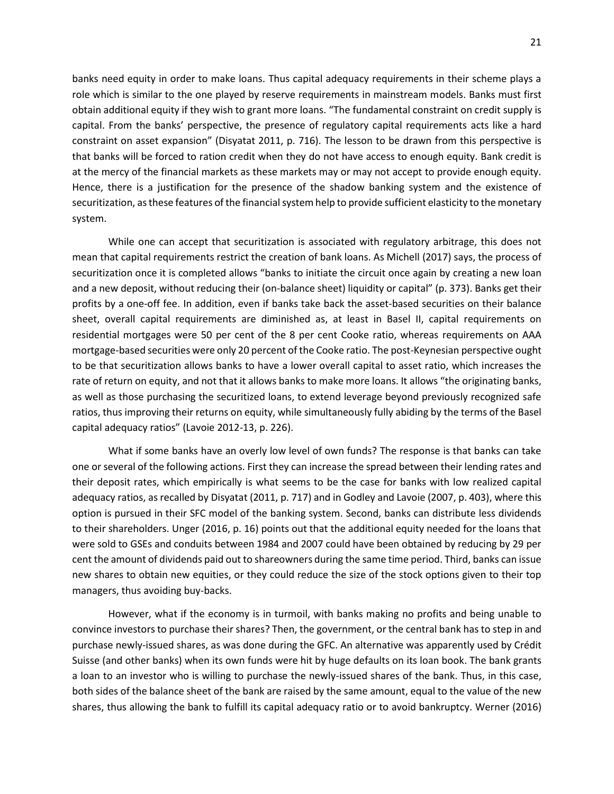banks need equity in order to make loans. Thus capital adequacy requirements in their scheme plays a role which is similar to the one played by reserve requirements in mainstream models. Banks must first obtain additional equity if they wish to grant more loans. "The fundamental constraint on credit supply is capital. From the banks' perspective, the presence of regulatory capital requirements acts like a hard constraint on asset expansion" (Disyatat 2011, p. 716). The lesson to be drawn from this perspective is that banks will be forced to ration credit when they do not have access to enough equity. Bank credit is at the mercy of the financial markets as these markets may or may not accept to provide enough equity. Hence, there is a justification for the presence of the shadow banking system and the existence of securitization, as these features of the financial system help to provide sufficient elasticity to the monetary system.

While one can accept that securitization is associated with regulatory arbitrage, this does not mean that capital requirements restrict the creation of bank loans. As Michell (2017) says, the process of securitization once it is completed allows "banks to initiate the circuit once again by creating a new loan and a new deposit, without reducing their (on-balance sheet) liquidity or capital" (p. 373). Banks get their profits by a one-off fee. In addition, even if banks take back the asset-based securities on their balance sheet, overall capital requirements are diminished as, at least in Basel II, capital requirements on residential mortgages were 50 per cent of the 8 per cent Cooke ratio, whereas requirements on AAA mortgage-based securities were only 20 percent of the Cooke ratio. The post-Keynesian perspective ought to be that securitization allows banks to have a lower overall capital to asset ratio, which increases the rate of return on equity, and not that it allows banks to make more loans. It allows "the originating banks, as well as those purchasing the securitized loans, to extend leverage beyond previously recognized safe ratios, thus improving their returns on equity, while simultaneously fully abiding by the terms of the Basel capital adequacy ratios" (Lavoie 2012-13, p. 226).

What if some banks have an overly low level of own funds? The response is that banks can take one or several of the following actions. First they can increase the spread between their lending rates and their deposit rates, which empirically is what seems to be the case for banks with low realized capital adequacy ratios, as recalled by Disyatat (2011, p. 717) and in Godley and Lavoie (2007, p. 403), where this option is pursued in their SFC model of the banking system. Second, banks can distribute less dividends to their shareholders. Unger (2016, p. 16) points out that the additional equity needed for the loans that were sold to GSEs and conduits between 1984 and 2007 could have been obtained by reducing by 29 per cent the amount of dividends paid out to shareowners during the same time period. Third, banks can issue new shares to obtain new equities, or they could reduce the size of the stock options given to their top managers, thus avoiding buy-backs.

However, what if the economy is in turmoil, with banks making no profits and being unable to convince investors to purchase their shares? Then, the government, or the central bank has to step in and purchase newly-issued shares, as was done during the GFC. An alternative was apparently used by Crédit Suisse (and other banks) when its own funds were hit by huge defaults on its loan book. The bank grants a loan to an investor who is willing to purchase the newly-issued shares of the bank. Thus, in this case, both sides of the balance sheet of the bank are raised by the same amount, equal to the value of the new shares, thus allowing the bank to fulfill its capital adequacy ratio or to avoid bankruptcy. Werner (2016)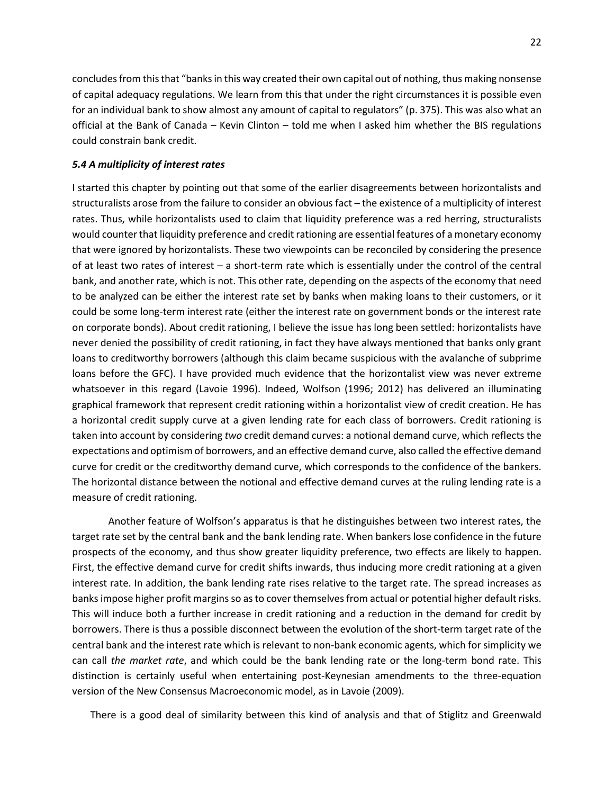concludes from this that "banks in this way created their own capital out of nothing, thus making nonsense of capital adequacy regulations. We learn from this that under the right circumstances it is possible even for an individual bank to show almost any amount of capital to regulators" (p. 375). This was also what an official at the Bank of Canada – Kevin Clinton – told me when I asked him whether the BIS regulations could constrain bank credit.

## *5.4 A multiplicity of interest rates*

I started this chapter by pointing out that some of the earlier disagreements between horizontalists and structuralists arose from the failure to consider an obvious fact – the existence of a multiplicity of interest rates. Thus, while horizontalists used to claim that liquidity preference was a red herring, structuralists would counter that liquidity preference and credit rationing are essential features of a monetary economy that were ignored by horizontalists. These two viewpoints can be reconciled by considering the presence of at least two rates of interest – a short-term rate which is essentially under the control of the central bank, and another rate, which is not. This other rate, depending on the aspects of the economy that need to be analyzed can be either the interest rate set by banks when making loans to their customers, or it could be some long-term interest rate (either the interest rate on government bonds or the interest rate on corporate bonds). About credit rationing, I believe the issue has long been settled: horizontalists have never denied the possibility of credit rationing, in fact they have always mentioned that banks only grant loans to creditworthy borrowers (although this claim became suspicious with the avalanche of subprime loans before the GFC). I have provided much evidence that the horizontalist view was never extreme whatsoever in this regard (Lavoie 1996). Indeed, Wolfson (1996; 2012) has delivered an illuminating graphical framework that represent credit rationing within a horizontalist view of credit creation. He has a horizontal credit supply curve at a given lending rate for each class of borrowers. Credit rationing is taken into account by considering *two* credit demand curves: a notional demand curve, which reflects the expectations and optimism of borrowers, and an effective demand curve, also called the effective demand curve for credit or the creditworthy demand curve, which corresponds to the confidence of the bankers. The horizontal distance between the notional and effective demand curves at the ruling lending rate is a measure of credit rationing.

Another feature of Wolfson's apparatus is that he distinguishes between two interest rates, the target rate set by the central bank and the bank lending rate. When bankers lose confidence in the future prospects of the economy, and thus show greater liquidity preference, two effects are likely to happen. First, the effective demand curve for credit shifts inwards, thus inducing more credit rationing at a given interest rate. In addition, the bank lending rate rises relative to the target rate. The spread increases as banks impose higher profit margins so as to cover themselves from actual or potential higher default risks. This will induce both a further increase in credit rationing and a reduction in the demand for credit by borrowers. There is thus a possible disconnect between the evolution of the short-term target rate of the central bank and the interest rate which is relevant to non-bank economic agents, which for simplicity we can call *the market rate*, and which could be the bank lending rate or the long-term bond rate. This distinction is certainly useful when entertaining post-Keynesian amendments to the three-equation version of the New Consensus Macroeconomic model, as in Lavoie (2009).

There is a good deal of similarity between this kind of analysis and that of Stiglitz and Greenwald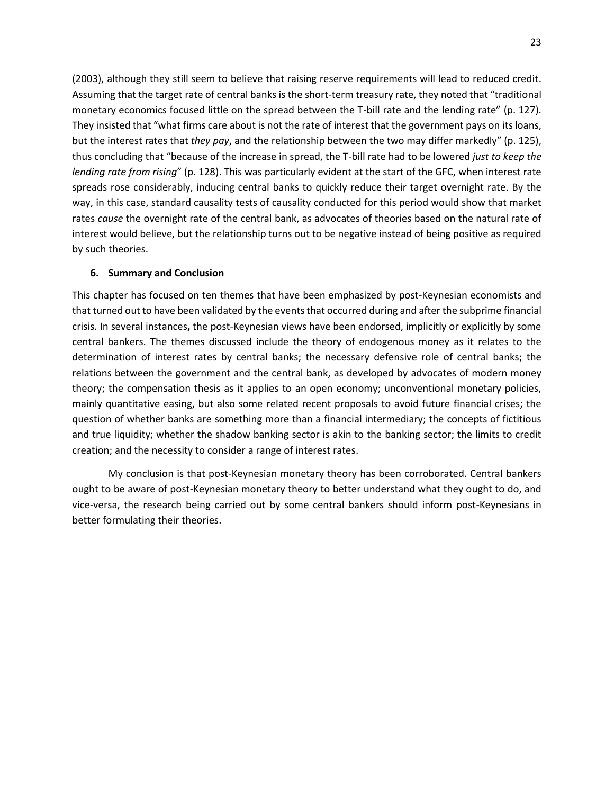(2003), although they still seem to believe that raising reserve requirements will lead to reduced credit. Assuming that the target rate of central banks is the short-term treasury rate, they noted that "traditional monetary economics focused little on the spread between the T-bill rate and the lending rate" (p. 127). They insisted that "what firms care about is not the rate of interest that the government pays on its loans, but the interest rates that *they pay*, and the relationship between the two may differ markedly" (p. 125), thus concluding that "because of the increase in spread, the T-bill rate had to be lowered *just to keep the lending rate from rising*" (p. 128). This was particularly evident at the start of the GFC, when interest rate spreads rose considerably, inducing central banks to quickly reduce their target overnight rate. By the way, in this case, standard causality tests of causality conducted for this period would show that market rates *cause* the overnight rate of the central bank, as advocates of theories based on the natural rate of interest would believe, but the relationship turns out to be negative instead of being positive as required by such theories.

# **6. Summary and Conclusion**

This chapter has focused on ten themes that have been emphasized by post-Keynesian economists and that turned out to have been validated by the events that occurred during and after the subprime financial crisis. In several instances**,** the post-Keynesian views have been endorsed, implicitly or explicitly by some central bankers. The themes discussed include the theory of endogenous money as it relates to the determination of interest rates by central banks; the necessary defensive role of central banks; the relations between the government and the central bank, as developed by advocates of modern money theory; the compensation thesis as it applies to an open economy; unconventional monetary policies, mainly quantitative easing, but also some related recent proposals to avoid future financial crises; the question of whether banks are something more than a financial intermediary; the concepts of fictitious and true liquidity; whether the shadow banking sector is akin to the banking sector; the limits to credit creation; and the necessity to consider a range of interest rates.

My conclusion is that post-Keynesian monetary theory has been corroborated. Central bankers ought to be aware of post-Keynesian monetary theory to better understand what they ought to do, and vice-versa, the research being carried out by some central bankers should inform post-Keynesians in better formulating their theories.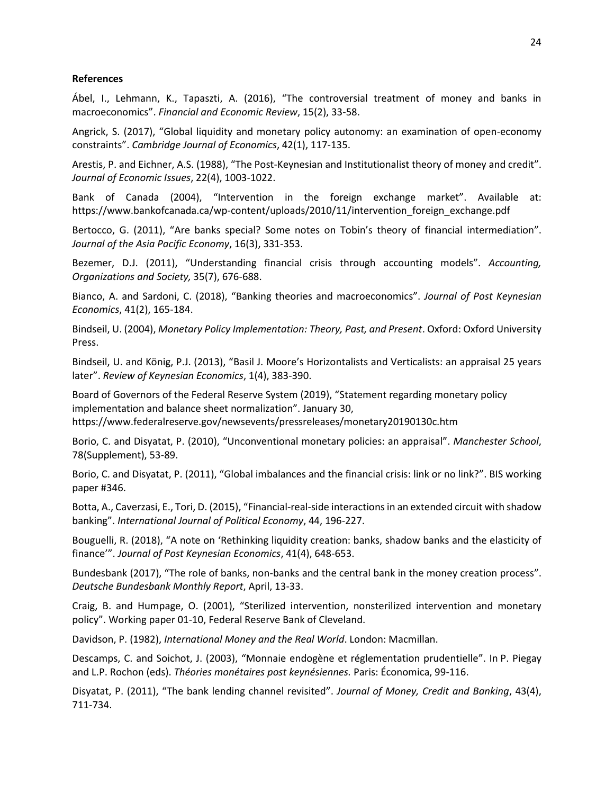#### **References**

Ábel, I., Lehmann, K., Tapaszti, A. (2016), "The controversial treatment of money and banks in macroeconomics". *Financial and Economic Review*, 15(2), 33-58.

Angrick, S. (2017), "Global liquidity and monetary policy autonomy: an examination of open-economy constraints". *Cambridge Journal of Economics*, 42(1), 117-135.

Arestis, P. and Eichner, A.S. (1988), "The Post-Keynesian and Institutionalist theory of money and credit". *Journal of Economic Issues*, 22(4), 1003-1022.

Bank of Canada (2004), "Intervention in the foreign exchange market". Available at: https://www.bankofcanada.ca/wp-content/uploads/2010/11/intervention\_foreign\_exchange.pdf

Bertocco, G. (2011), "Are banks special? Some notes on Tobin's theory of financial intermediation". *Journal of the Asia Pacific Economy*, 16(3), 331-353.

Bezemer, D.J. (2011), "Understanding financial crisis through accounting models". *Accounting, Organizations and Society,* 35(7), 676-688.

Bianco, A. and Sardoni, C. (2018), "Banking theories and macroeconomics". *Journal of Post Keynesian Economics*, 41(2), 165-184.

Bindseil, U. (2004), *Monetary Policy Implementation: Theory, Past, and Present*. Oxford: Oxford University Press.

Bindseil, U. and König, P.J. (2013), "Basil J. Moore's Horizontalists and Verticalists: an appraisal 25 years later". *Review of Keynesian Economics*, 1(4), 383-390.

Board of Governors of the Federal Reserve System (2019), "Statement regarding monetary policy implementation and balance sheet normalization". January 30, https://www.federalreserve.gov/newsevents/pressreleases/monetary20190130c.htm

Borio, C. and Disyatat, P. (2010), "Unconventional monetary policies: an appraisal". *Manchester School*, 78(Supplement), 53-89.

Borio, C. and Disyatat, P. (2011), "Global imbalances and the financial crisis: link or no link?". BIS working paper #346.

Botta, A., Caverzasi, E., Tori, D. (2015), "Financial-real-side interactions in an extended circuit with shadow banking". *International Journal of Political Economy*, 44, 196-227.

Bouguelli, R. (2018), "A note on 'Rethinking liquidity creation: banks, shadow banks and the elasticity of finance'". *Journal of Post Keynesian Economics*, 41(4), 648-653.

Bundesbank (2017), "The role of banks, non-banks and the central bank in the money creation process". *Deutsche Bundesbank Monthly Report*, April, 13-33.

Craig, B. and Humpage, O. (2001), "Sterilized intervention, nonsterilized intervention and monetary policy". Working paper 01-10, Federal Reserve Bank of Cleveland.

Davidson, P. (1982), *International Money and the Real World*. London: Macmillan.

Descamps, C. and Soichot, J. (2003), "Monnaie endogène et réglementation prudentielle". In P. Piegay and L.P. Rochon (eds). *Théories monétaires post keynésiennes.* Paris: Économica, 99-116.

Disyatat, P. (2011), "The bank lending channel revisited". *Journal of Money, Credit and Banking*, 43(4), 711-734.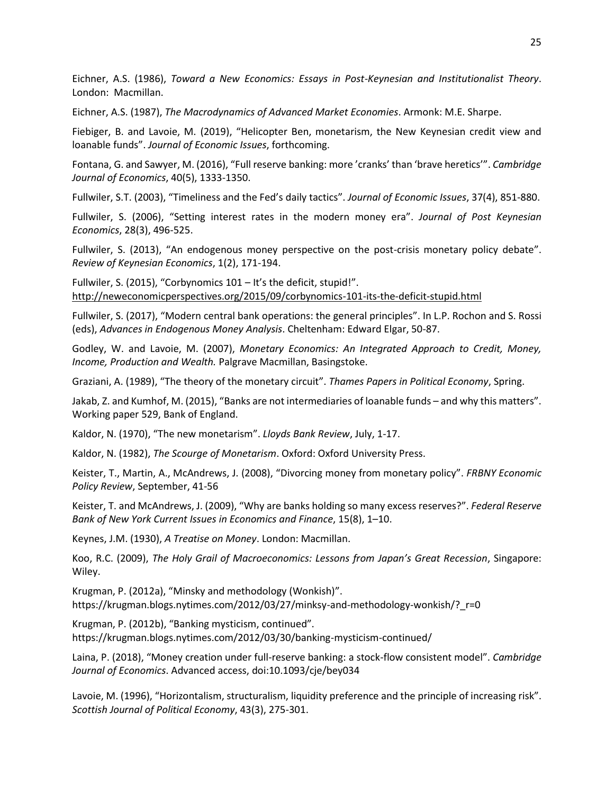Eichner, A.S. (1986), *Toward a New Economics: Essays in Post-Keynesian and Institutionalist Theory*. London: Macmillan.

Eichner, A.S. (1987), *The Macrodynamics of Advanced Market Economies*. Armonk: M.E. Sharpe.

Fiebiger, B. and Lavoie, M. (2019), "Helicopter Ben, monetarism, the New Keynesian credit view and loanable funds". *Journal of Economic Issues*, forthcoming.

Fontana, G. and Sawyer, M. (2016), "Full reserve banking: more 'cranks' than 'brave heretics'". *Cambridge Journal of Economics*, 40(5), 1333-1350.

Fullwiler, S.T. (2003), "Timeliness and the Fed's daily tactics". *Journal of Economic Issues*, 37(4), 851-880.

Fullwiler, S. (2006), "Setting interest rates in the modern money era". *Journal of Post Keynesian Economics*, 28(3), 496-525.

Fullwiler, S. (2013), "An endogenous money perspective on the post-crisis monetary policy debate". *Review of Keynesian Economics*, 1(2), 171-194.

Fullwiler, S. (2015), "Corbynomics 101 – It's the deficit, stupid!". <http://neweconomicperspectives.org/2015/09/corbynomics-101-its-the-deficit-stupid.html>

Fullwiler, S. (2017), "Modern central bank operations: the general principles". In L.P. Rochon and S. Rossi (eds), *Advances in Endogenous Money Analysis*. Cheltenham: Edward Elgar, 50-87.

Godley, W. and Lavoie, M. (2007), *Monetary Economics: An Integrated Approach to Credit, Money, Income, Production and Wealth.* Palgrave Macmillan, Basingstoke.

Graziani, A. (1989), "The theory of the monetary circuit". *Thames Papers in Political Economy*, Spring.

Jakab, Z. and Kumhof, M. (2015), "Banks are not intermediaries of loanable funds – and why this matters". Working paper 529, Bank of England.

Kaldor, N. (1970), "The new monetarism". *Lloyds Bank Review*, July, 1-17.

Kaldor, N. (1982), *The Scourge of Monetarism*. Oxford: Oxford University Press.

Keister, T., Martin, A., McAndrews, J. (2008), "Divorcing money from monetary policy". *FRBNY Economic Policy Review*, September, 41-56

Keister, T. and McAndrews, J. (2009), "Why are banks holding so many excess reserves?". *Federal Reserve Bank of New York Current Issues in Economics and Finance*, 15(8), 1–10.

Keynes, J.M. (1930), *A Treatise on Money*. London: Macmillan.

Koo, R.C. (2009), *The Holy Grail of Macroeconomics: Lessons from Japan's Great Recession*, Singapore: Wiley.

Krugman, P. (2012a), "Minsky and methodology (Wonkish)". https://krugman.blogs.nytimes.com/2012/03/27/minksy-and-methodology-wonkish/?\_r=0

Krugman, P. (2012b), "Banking mysticism, continued". https://krugman.blogs.nytimes.com/2012/03/30/banking-mysticism-continued/

Laina, P. (2018), "Money creation under full-reserve banking: a stock-flow consistent model". *Cambridge Journal of Economics*. Advanced access, doi:10.1093/cje/bey034

Lavoie, M. (1996), "Horizontalism, structuralism, liquidity preference and the principle of increasing risk". *Scottish Journal of Political Economy*, 43(3), 275-301.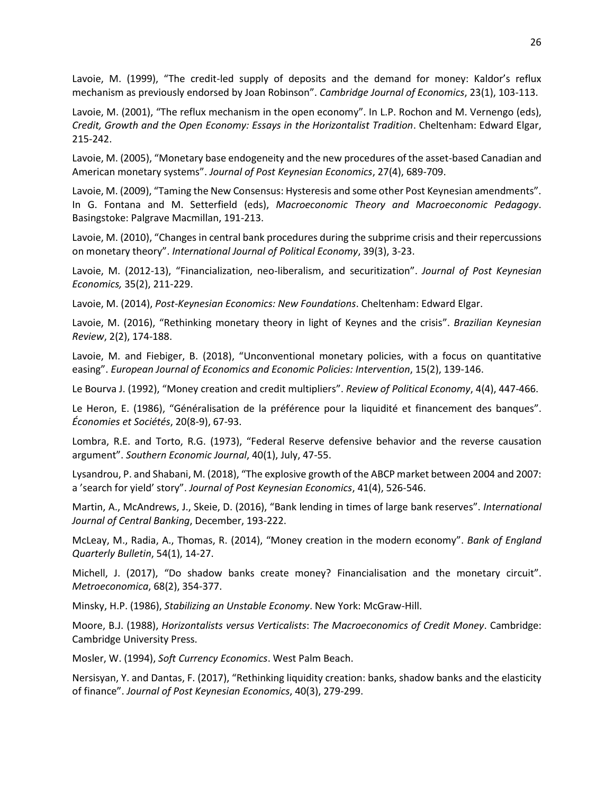Lavoie, M. (1999), "The credit-led supply of deposits and the demand for money: Kaldor's reflux mechanism as previously endorsed by Joan Robinson". *Cambridge Journal of Economics*, 23(1), 103-113.

Lavoie, M. (2001), "The reflux mechanism in the open economy". In L.P. Rochon and M. Vernengo (eds), *Credit, Growth and the Open Economy: Essays in the Horizontalist Tradition*. Cheltenham: Edward Elgar, 215-242.

Lavoie, M. (2005), "Monetary base endogeneity and the new procedures of the asset-based Canadian and American monetary systems". *Journal of Post Keynesian Economics*, 27(4), 689-709.

Lavoie, M. (2009), "Taming the New Consensus: Hysteresis and some other Post Keynesian amendments". In G. Fontana and M. Setterfield (eds), *Macroeconomic Theory and Macroeconomic Pedagogy*. Basingstoke: Palgrave Macmillan, 191-213.

Lavoie, M. (2010), "Changes in central bank procedures during the subprime crisis and their repercussions on monetary theory". *International Journal of Political Economy*, 39(3), 3-23.

Lavoie, M. (2012-13), "Financialization, neo-liberalism, and securitization". *Journal of Post Keynesian Economics,* 35(2), 211-229.

Lavoie, M. (2014), *Post-Keynesian Economics: New Foundations*. Cheltenham: Edward Elgar.

Lavoie, M. (2016), "Rethinking monetary theory in light of Keynes and the crisis". *Brazilian Keynesian Review*, 2(2), 174-188.

Lavoie, M. and Fiebiger, B. (2018), "Unconventional monetary policies, with a focus on quantitative easing". *European Journal of Economics and Economic Policies: Intervention*, 15(2), 139-146.

Le Bourva J. (1992), "Money creation and credit multipliers". *Review of Political Economy*, 4(4), 447-466.

Le Heron, E. (1986), "Généralisation de la préférence pour la liquidité et financement des banques". *Économies et Sociétés*, 20(8-9), 67-93.

Lombra, R.E. and Torto, R.G. (1973), "Federal Reserve defensive behavior and the reverse causation argument". *Southern Economic Journal*, 40(1), July, 47-55.

Lysandrou, P. and Shabani, M. (2018), "The explosive growth of the ABCP market between 2004 and 2007: a 'search for yield' story". *Journal of Post Keynesian Economics*, 41(4), 526-546.

Martin, A., McAndrews, J., Skeie, D. (2016), "Bank lending in times of large bank reserves". *International Journal of Central Banking*, December, 193-222.

McLeay, M., Radia, A., Thomas, R. (2014), "Money creation in the modern economy". *Bank of England Quarterly Bulletin*, 54(1), 14-27.

Michell, J. (2017), "Do shadow banks create money? Financialisation and the monetary circuit". *Metroeconomica*, 68(2), 354-377.

Minsky, H.P. (1986), *Stabilizing an Unstable Economy*. New York: McGraw-Hill.

Moore, B.J. (1988), *Horizontalists versus Verticalists*: *The Macroeconomics of Credit Money*. Cambridge: Cambridge University Press.

Mosler, W. (1994), *Soft Currency Economics*. West Palm Beach.

Nersisyan, Y. and Dantas, F. (2017), "Rethinking liquidity creation: banks, shadow banks and the elasticity of finance". *Journal of Post Keynesian Economics*, 40(3), 279-299.